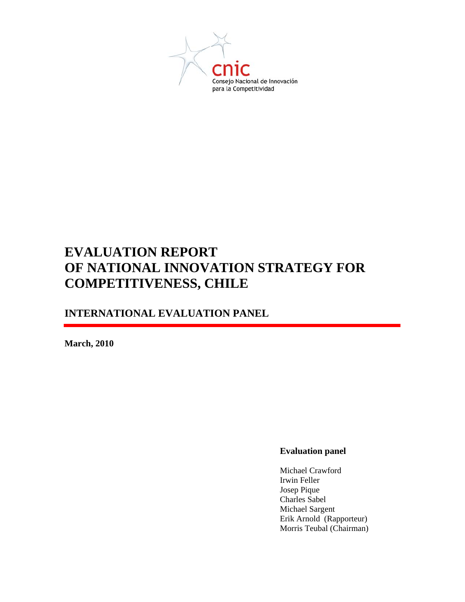

# **EVALUATION REPORT OF NATIONAL INNOVATION STRATEGY FOR COMPETITIVENESS, CHILE**

# **INTERNATIONAL EVALUATION PANEL**

**March, 2010** 

**Evaluation panel** 

Michael Crawford Irwin Feller Josep Pique Charles Sabel Michael Sargent Erik Arnold (Rapporteur) Morris Teubal (Chairman)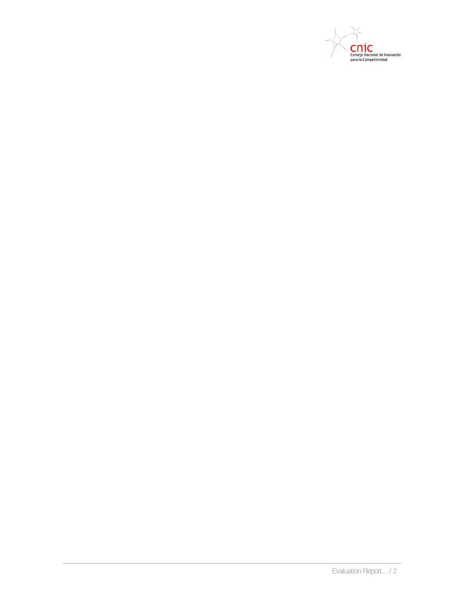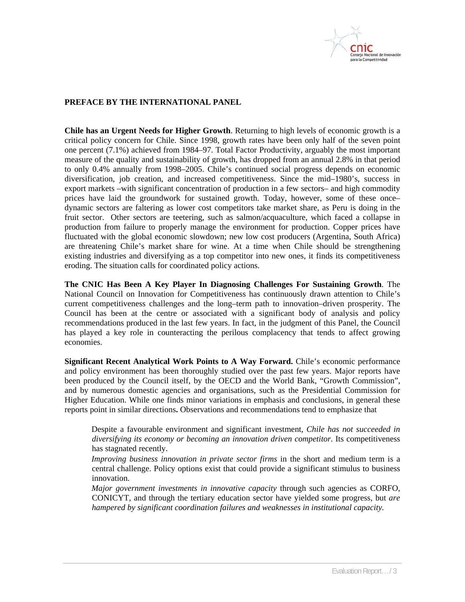

# **PREFACE BY THE INTERNATIONAL PANEL**

**Chile has an Urgent Needs for Higher Growth**. Returning to high levels of economic growth is a critical policy concern for Chile. Since 1998, growth rates have been only half of the seven point one percent (7.1%) achieved from 1984–97. Total Factor Productivity, arguably the most important measure of the quality and sustainability of growth, has dropped from an annual 2.8% in that period to only 0.4% annually from 1998–2005. Chile's continued social progress depends on economic diversification, job creation, and increased competitiveness. Since the mid–1980's, success in export markets –with significant concentration of production in a few sectors– and high commodity prices have laid the groundwork for sustained growth. Today, however, some of these once– dynamic sectors are faltering as lower cost competitors take market share, as Peru is doing in the fruit sector. Other sectors are teetering, such as salmon/acquaculture, which faced a collapse in production from failure to properly manage the environment for production. Copper prices have fluctuated with the global economic slowdown; new low cost producers (Argentina, South Africa) are threatening Chile's market share for wine. At a time when Chile should be strengthening existing industries and diversifying as a top competitor into new ones, it finds its competitiveness eroding. The situation calls for coordinated policy actions.

**The CNIC Has Been A Key Player In Diagnosing Challenges For Sustaining Growth**. The National Council on Innovation for Competitiveness has continuously drawn attention to Chile's current competitiveness challenges and the long–term path to innovation–driven prosperity. The Council has been at the centre or associated with a significant body of analysis and policy recommendations produced in the last few years. In fact, in the judgment of this Panel, the Council has played a key role in counteracting the perilous complacency that tends to affect growing economies.

**Significant Recent Analytical Work Points to A Way Forward.** Chile's economic performance and policy environment has been thoroughly studied over the past few years. Major reports have been produced by the Council itself, by the OECD and the World Bank, "Growth Commission", and by numerous domestic agencies and organisations, such as the Presidential Commission for Higher Education. While one finds minor variations in emphasis and conclusions, in general these reports point in similar directions**.** Observations and recommendations tend to emphasize that

Despite a favourable environment and significant investment, *Chile has not succeeded in diversifying its economy or becoming an innovation driven competitor*. Its competitiveness has stagnated recently.

*Improving business innovation in private sector firms* in the short and medium term is a central challenge. Policy options exist that could provide a significant stimulus to business innovation.

*Major government investments in innovative capacity* through such agencies as CORFO, CONICYT, and through the tertiary education sector have yielded some progress, but *are hampered by significant coordination failures and weaknesses in institutional capacity.*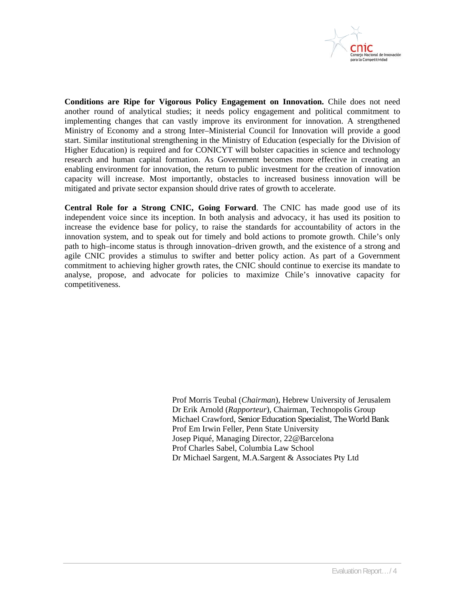

**Conditions are Ripe for Vigorous Policy Engagement on Innovation.** Chile does not need another round of analytical studies; it needs policy engagement and political commitment to implementing changes that can vastly improve its environment for innovation. A strengthened Ministry of Economy and a strong Inter–Ministerial Council for Innovation will provide a good start. Similar institutional strengthening in the Ministry of Education (especially for the Division of Higher Education) is required and for CONICYT will bolster capacities in science and technology research and human capital formation. As Government becomes more effective in creating an enabling environment for innovation, the return to public investment for the creation of innovation capacity will increase. Most importantly, obstacles to increased business innovation will be mitigated and private sector expansion should drive rates of growth to accelerate.

**Central Role for a Strong CNIC, Going Forward**. The CNIC has made good use of its independent voice since its inception. In both analysis and advocacy, it has used its position to increase the evidence base for policy, to raise the standards for accountability of actors in the innovation system, and to speak out for timely and bold actions to promote growth. Chile's only path to high–income status is through innovation–driven growth, and the existence of a strong and agile CNIC provides a stimulus to swifter and better policy action. As part of a Government commitment to achieving higher growth rates, the CNIC should continue to exercise its mandate to analyse, propose, and advocate for policies to maximize Chile's innovative capacity for competitiveness.

> Prof Morris Teubal (*Chairman*), Hebrew University of Jerusalem Dr Erik Arnold (*Rapporteur*), Chairman, Technopolis Group Michael Crawford, Senior Education Specialist, The World Bank Prof Em Irwin Feller, Penn State University Josep Piqué, Managing Director, 22@Barcelona Prof Charles Sabel, Columbia Law School Dr Michael Sargent, M.A.Sargent & Associates Pty Ltd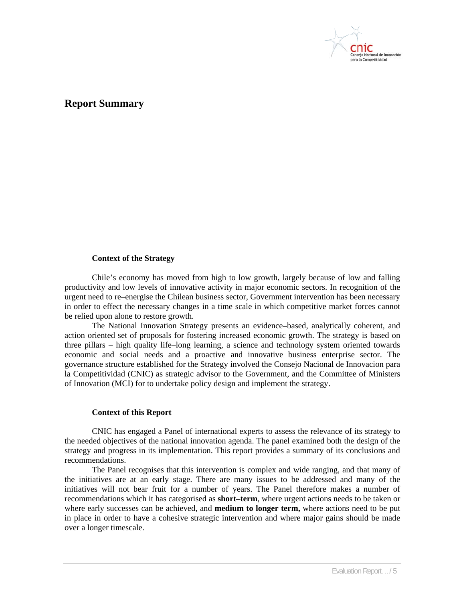

# **Report Summary**

#### **Context of the Strategy**

Chile's economy has moved from high to low growth, largely because of low and falling productivity and low levels of innovative activity in major economic sectors. In recognition of the urgent need to re–energise the Chilean business sector, Government intervention has been necessary in order to effect the necessary changes in a time scale in which competitive market forces cannot be relied upon alone to restore growth.

The National Innovation Strategy presents an evidence–based, analytically coherent, and action oriented set of proposals for fostering increased economic growth. The strategy is based on three pillars – high quality life–long learning, a science and technology system oriented towards economic and social needs and a proactive and innovative business enterprise sector. The governance structure established for the Strategy involved the Consejo Nacional de Innovacion para la Competitividad (CNIC) as strategic advisor to the Government, and the Committee of Ministers of Innovation (MCI) for to undertake policy design and implement the strategy.

# **Context of this Report**

CNIC has engaged a Panel of international experts to assess the relevance of its strategy to the needed objectives of the national innovation agenda. The panel examined both the design of the strategy and progress in its implementation. This report provides a summary of its conclusions and recommendations.

The Panel recognises that this intervention is complex and wide ranging, and that many of the initiatives are at an early stage. There are many issues to be addressed and many of the initiatives will not bear fruit for a number of years. The Panel therefore makes a number of recommendations which it has categorised as **short–term**, where urgent actions needs to be taken or where early successes can be achieved, and **medium to longer term,** where actions need to be put in place in order to have a cohesive strategic intervention and where major gains should be made over a longer timescale.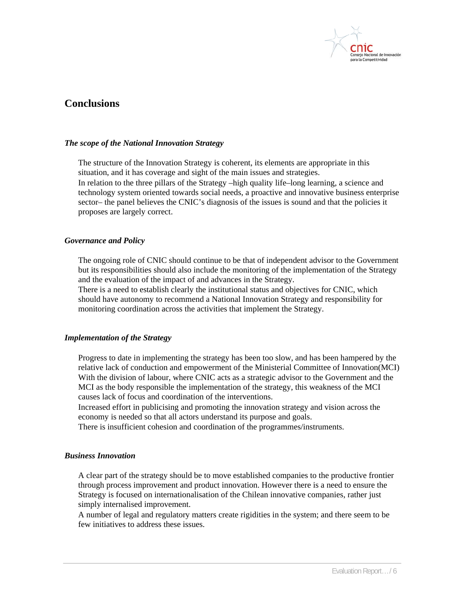

# **Conclusions**

#### *The scope of the National Innovation Strategy*

The structure of the Innovation Strategy is coherent, its elements are appropriate in this situation, and it has coverage and sight of the main issues and strategies. In relation to the three pillars of the Strategy –high quality life–long learning, a science and technology system oriented towards social needs, a proactive and innovative business enterprise sector– the panel believes the CNIC's diagnosis of the issues is sound and that the policies it proposes are largely correct.

# *Governance and Policy*

The ongoing role of CNIC should continue to be that of independent advisor to the Government but its responsibilities should also include the monitoring of the implementation of the Strategy and the evaluation of the impact of and advances in the Strategy.

There is a need to establish clearly the institutional status and objectives for CNIC, which should have autonomy to recommend a National Innovation Strategy and responsibility for monitoring coordination across the activities that implement the Strategy.

# *Implementation of the Strategy*

Progress to date in implementing the strategy has been too slow, and has been hampered by the relative lack of conduction and empowerment of the Ministerial Committee of Innovation(MCI) With the division of labour, where CNIC acts as a strategic advisor to the Government and the MCI as the body responsible the implementation of the strategy, this weakness of the MCI causes lack of focus and coordination of the interventions.

Increased effort in publicising and promoting the innovation strategy and vision across the economy is needed so that all actors understand its purpose and goals.

There is insufficient cohesion and coordination of the programmes/instruments.

# *Business Innovation*

A clear part of the strategy should be to move established companies to the productive frontier through process improvement and product innovation. However there is a need to ensure the Strategy is focused on internationalisation of the Chilean innovative companies, rather just simply internalised improvement.

A number of legal and regulatory matters create rigidities in the system; and there seem to be few initiatives to address these issues.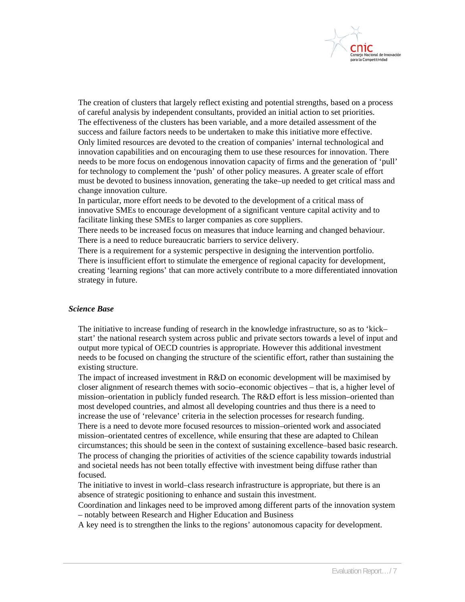

The creation of clusters that largely reflect existing and potential strengths, based on a process of careful analysis by independent consultants, provided an initial action to set priorities. The effectiveness of the clusters has been variable, and a more detailed assessment of the success and failure factors needs to be undertaken to make this initiative more effective. Only limited resources are devoted to the creation of companies' internal technological and innovation capabilities and on encouraging them to use these resources for innovation. There needs to be more focus on endogenous innovation capacity of firms and the generation of 'pull' for technology to complement the 'push' of other policy measures. A greater scale of effort must be devoted to business innovation, generating the take–up needed to get critical mass and change innovation culture.

In particular, more effort needs to be devoted to the development of a critical mass of innovative SMEs to encourage development of a significant venture capital activity and to facilitate linking these SMEs to larger companies as core suppliers.

There needs to be increased focus on measures that induce learning and changed behaviour. There is a need to reduce bureaucratic barriers to service delivery.

There is a requirement for a systemic perspective in designing the intervention portfolio. There is insufficient effort to stimulate the emergence of regional capacity for development, creating 'learning regions' that can more actively contribute to a more differentiated innovation strategy in future.

#### *Science Base*

The initiative to increase funding of research in the knowledge infrastructure, so as to 'kick– start' the national research system across public and private sectors towards a level of input and output more typical of OECD countries is appropriate. However this additional investment needs to be focused on changing the structure of the scientific effort, rather than sustaining the existing structure.

The impact of increased investment in R&D on economic development will be maximised by closer alignment of research themes with socio–economic objectives – that is, a higher level of mission–orientation in publicly funded research. The R&D effort is less mission–oriented than most developed countries, and almost all developing countries and thus there is a need to increase the use of 'relevance' criteria in the selection processes for research funding. There is a need to devote more focused resources to mission–oriented work and associated mission–orientated centres of excellence, while ensuring that these are adapted to Chilean circumstances; this should be seen in the context of sustaining excellence–based basic research. The process of changing the priorities of activities of the science capability towards industrial and societal needs has not been totally effective with investment being diffuse rather than focused.

The initiative to invest in world–class research infrastructure is appropriate, but there is an absence of strategic positioning to enhance and sustain this investment.

Coordination and linkages need to be improved among different parts of the innovation system – notably between Research and Higher Education and Business

A key need is to strengthen the links to the regions' autonomous capacity for development.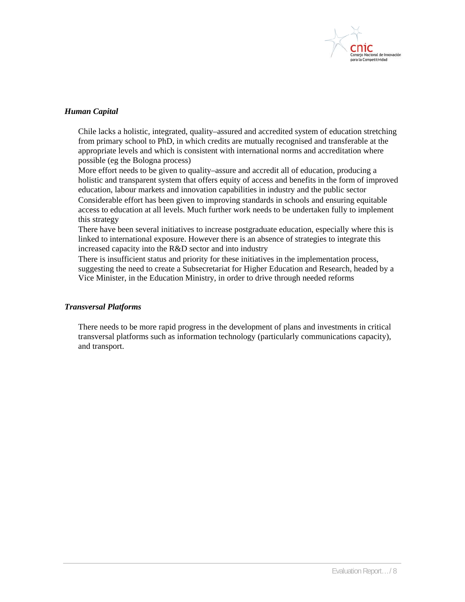

# *Human Capital*

Chile lacks a holistic, integrated, quality–assured and accredited system of education stretching from primary school to PhD, in which credits are mutually recognised and transferable at the appropriate levels and which is consistent with international norms and accreditation where possible (eg the Bologna process)

More effort needs to be given to quality–assure and accredit all of education, producing a holistic and transparent system that offers equity of access and benefits in the form of improved education, labour markets and innovation capabilities in industry and the public sector Considerable effort has been given to improving standards in schools and ensuring equitable access to education at all levels. Much further work needs to be undertaken fully to implement this strategy

There have been several initiatives to increase postgraduate education, especially where this is linked to international exposure. However there is an absence of strategies to integrate this increased capacity into the R&D sector and into industry

There is insufficient status and priority for these initiatives in the implementation process, suggesting the need to create a Subsecretariat for Higher Education and Research, headed by a Vice Minister, in the Education Ministry, in order to drive through needed reforms

# *Transversal Platforms*

There needs to be more rapid progress in the development of plans and investments in critical transversal platforms such as information technology (particularly communications capacity), and transport.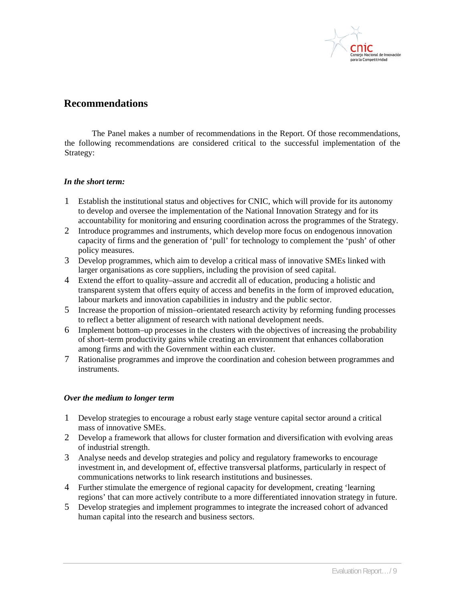

# **Recommendations**

The Panel makes a number of recommendations in the Report. Of those recommendations, the following recommendations are considered critical to the successful implementation of the Strategy:

# *In the short term:*

- 1 Establish the institutional status and objectives for CNIC, which will provide for its autonomy to develop and oversee the implementation of the National Innovation Strategy and for its accountability for monitoring and ensuring coordination across the programmes of the Strategy.
- 2 Introduce programmes and instruments, which develop more focus on endogenous innovation capacity of firms and the generation of 'pull' for technology to complement the 'push' of other policy measures.
- 3 Develop programmes, which aim to develop a critical mass of innovative SMEs linked with larger organisations as core suppliers, including the provision of seed capital.
- 4 Extend the effort to quality–assure and accredit all of education, producing a holistic and transparent system that offers equity of access and benefits in the form of improved education, labour markets and innovation capabilities in industry and the public sector.
- 5 Increase the proportion of mission–orientated research activity by reforming funding processes to reflect a better alignment of research with national development needs.
- 6 Implement bottom–up processes in the clusters with the objectives of increasing the probability of short–term productivity gains while creating an environment that enhances collaboration among firms and with the Government within each cluster.
- 7 Rationalise programmes and improve the coordination and cohesion between programmes and instruments.

# *Over the medium to longer term*

- 1 Develop strategies to encourage a robust early stage venture capital sector around a critical mass of innovative SMEs.
- 2 Develop a framework that allows for cluster formation and diversification with evolving areas of industrial strength.
- 3 Analyse needs and develop strategies and policy and regulatory frameworks to encourage investment in, and development of, effective transversal platforms, particularly in respect of communications networks to link research institutions and businesses.
- 4 Further stimulate the emergence of regional capacity for development, creating 'learning regions' that can more actively contribute to a more differentiated innovation strategy in future.
- 5 Develop strategies and implement programmes to integrate the increased cohort of advanced human capital into the research and business sectors.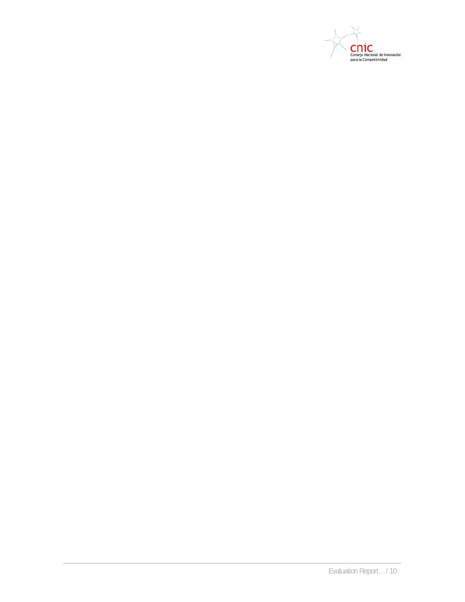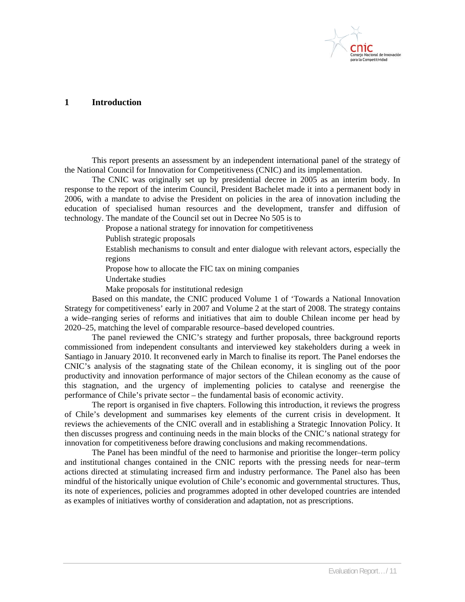

# **1 Introduction**

This report presents an assessment by an independent international panel of the strategy of the National Council for Innovation for Competitiveness (CNIC) and its implementation.

The CNIC was originally set up by presidential decree in 2005 as an interim body. In response to the report of the interim Council, President Bachelet made it into a permanent body in 2006, with a mandate to advise the President on policies in the area of innovation including the education of specialised human resources and the development, transfer and diffusion of technology. The mandate of the Council set out in Decree No 505 is to

Propose a national strategy for innovation for competitiveness

Publish strategic proposals

Establish mechanisms to consult and enter dialogue with relevant actors, especially the regions

Propose how to allocate the FIC tax on mining companies

Undertake studies

Make proposals for institutional redesign

Based on this mandate, the CNIC produced Volume 1 of 'Towards a National Innovation Strategy for competitiveness' early in 2007 and Volume 2 at the start of 2008. The strategy contains a wide–ranging series of reforms and initiatives that aim to double Chilean income per head by 2020–25, matching the level of comparable resource–based developed countries.

The panel reviewed the CNIC's strategy and further proposals, three background reports commissioned from independent consultants and interviewed key stakeholders during a week in Santiago in January 2010. It reconvened early in March to finalise its report. The Panel endorses the CNIC's analysis of the stagnating state of the Chilean economy, it is singling out of the poor productivity and innovation performance of major sectors of the Chilean economy as the cause of this stagnation, and the urgency of implementing policies to catalyse and reenergise the performance of Chile's private sector – the fundamental basis of economic activity.

The report is organised in five chapters. Following this introduction, it reviews the progress of Chile's development and summarises key elements of the current crisis in development. It reviews the achievements of the CNIC overall and in establishing a Strategic Innovation Policy. It then discusses progress and continuing needs in the main blocks of the CNIC's national strategy for innovation for competitiveness before drawing conclusions and making recommendations.

The Panel has been mindful of the need to harmonise and prioritise the longer–term policy and institutional changes contained in the CNIC reports with the pressing needs for near–term actions directed at stimulating increased firm and industry performance. The Panel also has been mindful of the historically unique evolution of Chile's economic and governmental structures. Thus, its note of experiences, policies and programmes adopted in other developed countries are intended as examples of initiatives worthy of consideration and adaptation, not as prescriptions.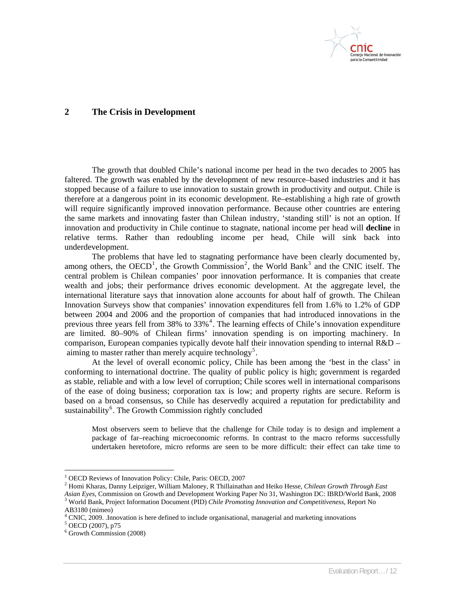

# **2 The Crisis in Development**

The growth that doubled Chile's national income per head in the two decades to 2005 has faltered. The growth was enabled by the development of new resource–based industries and it has stopped because of a failure to use innovation to sustain growth in productivity and output. Chile is therefore at a dangerous point in its economic development. Re–establishing a high rate of growth will require significantly improved innovation performance. Because other countries are entering the same markets and innovating faster than Chilean industry, 'standing still' is not an option. If innovation and productivity in Chile continue to stagnate, national income per head will **decline** in relative terms. Rather than redoubling income per head, Chile will sink back into underdevelopment.

The problems that have led to stagnating performance have been clearly documented by, among others, the OECD<sup>[1](#page-11-0)</sup>, the Growth Commission<sup>[2](#page-11-1)</sup>, the World Bank<sup>[3](#page-11-2)</sup> and the CNIC itself. The central problem is Chilean companies' poor innovation performance. It is companies that create wealth and jobs; their performance drives economic development. At the aggregate level, the international literature says that innovation alone accounts for about half of growth. The Chilean Innovation Surveys show that companies' innovation expenditures fell from 1.6% to 1.2% of GDP between 2004 and 2006 and the proportion of companies that had introduced innovations in the previous three years fell from  $38\%$  to  $33\%$ <sup>[4](#page-11-3)</sup>. The learning effects of Chile's innovation expenditure are limited. 80–90% of Chilean firms' innovation spending is on importing machinery. In comparison, European companies typically devote half their innovation spending to internal  $R&D$  – aiming to master rather than merely acquire technology<sup>[5](#page-11-4)</sup>.

At the level of overall economic policy, Chile has been among the 'best in the class' in conforming to international doctrine. The quality of public policy is high; government is regarded as stable, reliable and with a low level of corruption; Chile scores well in international comparisons of the ease of doing business; corporation tax is low; and property rights are secure. Reform is based on a broad consensus, so Chile has deservedly acquired a reputation for predictability and sustainability<sup>[6](#page-11-5)</sup>. The Growth Commission rightly concluded

Most observers seem to believe that the challenge for Chile today is to design and implement a package of far–reaching microeconomic reforms. In contrast to the macro reforms successfully undertaken heretofore, micro reforms are seen to be more difficult: their effect can take time to

<span id="page-11-0"></span><sup>&</sup>lt;sup>1</sup> OECD Reviews of Innovation Policy: Chile, Paris: OECD, 2007<br><sup>2</sup> Homi Kharas, Danny Leipziger, William Malanay, P. Thilleinath

<span id="page-11-1"></span>Homi Kharas, Danny Leipziger, William Maloney, R Thillainathan and Heiko Hesse, *Chilean Growth Through East* 

<span id="page-11-2"></span>*Asian Eyes*, Commission on Growth and Development Working Paper No 31, Washington DC: IBRD/World Bank, 2008 World Bank, Project Information Document (PID) *Chile Promoting Innovation and Competitiveness*, Report No AB3180 (mimeo)

<span id="page-11-3"></span><sup>&</sup>lt;sup>4</sup> CNIC, 2009. Innovation is here defined to include organisational, managerial and marketing innovations  ${}^{5}$  OECD (2007),  ${}^{7}S$ 

<span id="page-11-4"></span> $5$  OECD (2007), p75

<span id="page-11-5"></span><sup>6</sup> Growth Commission (2008)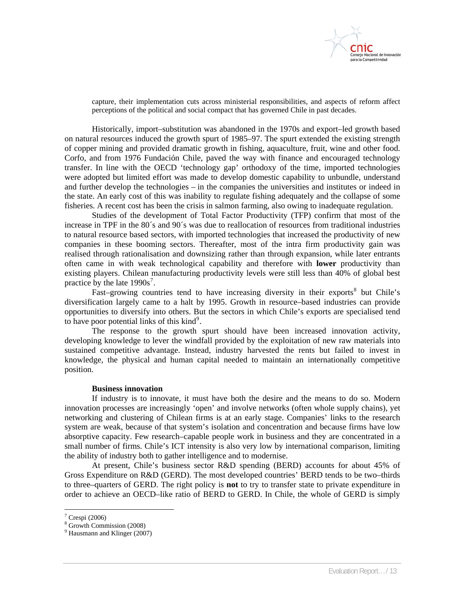

capture, their implementation cuts across ministerial responsibilities, and aspects of reform affect perceptions of the political and social compact that has governed Chile in past decades.

Historically, import–substitution was abandoned in the 1970s and export–led growth based on natural resources induced the growth spurt of 1985–97. The spurt extended the existing strength of copper mining and provided dramatic growth in fishing, aquaculture, fruit, wine and other food. Corfo, and from 1976 Fundación Chile, paved the way with finance and encouraged technology transfer. In line with the OECD 'technology gap' orthodoxy of the time, imported technologies were adopted but limited effort was made to develop domestic capability to unbundle, understand and further develop the technologies – in the companies the universities and institutes or indeed in the state. An early cost of this was inability to regulate fishing adequately and the collapse of some fisheries. A recent cost has been the crisis in salmon farming, also owing to inadequate regulation.

Studies of the development of Total Factor Productivity (TFP) confirm that most of the increase in TPF in the 80´s and 90´s was due to reallocation of resources from traditional industries to natural resource based sectors, with imported technologies that increased the productivity of new companies in these booming sectors. Thereafter, most of the intra firm productivity gain was realised through rationalisation and downsizing rather than through expansion, while later entrants often came in with weak technological capability and therefore with **lower** productivity than existing players. Chilean manufacturing productivity levels were still less than 40% of global best practice by the late  $1990s^7$  $1990s^7$ .

Fast-growing countries tend to have increasing diversity in their exports<sup>[8](#page-12-1)</sup> but Chile's diversification largely came to a halt by 1995. Growth in resource–based industries can provide opportunities to diversify into others. But the sectors in which Chile's exports are specialised tend to have poor potential links of this  $\text{kind}^9$  $\text{kind}^9$ .

The response to the growth spurt should have been increased innovation activity, developing knowledge to lever the windfall provided by the exploitation of new raw materials into sustained competitive advantage. Instead, industry harvested the rents but failed to invest in knowledge, the physical and human capital needed to maintain an internationally competitive position.

#### **Business innovation**

If industry is to innovate, it must have both the desire and the means to do so. Modern innovation processes are increasingly 'open' and involve networks (often whole supply chains), yet networking and clustering of Chilean firms is at an early stage. Companies' links to the research system are weak, because of that system's isolation and concentration and because firms have low absorptive capacity. Few research–capable people work in business and they are concentrated in a small number of firms. Chile's ICT intensity is also very low by international comparison, limiting the ability of industry both to gather intelligence and to modernise.

At present, Chile's business sector R&D spending (BERD) accounts for about 45% of Gross Expenditure on R&D (GERD). The most developed countries' BERD tends to be two–thirds to three–quarters of GERD. The right policy is **not** to try to transfer state to private expenditure in order to achieve an OECD–like ratio of BERD to GERD. In Chile, the whole of GERD is simply

<span id="page-12-0"></span><sup>7</sup> Crespi (2006)

<span id="page-12-1"></span><sup>8</sup> Growth Commission (2008)

<span id="page-12-2"></span> $9$  Hausmann and Klinger (2007)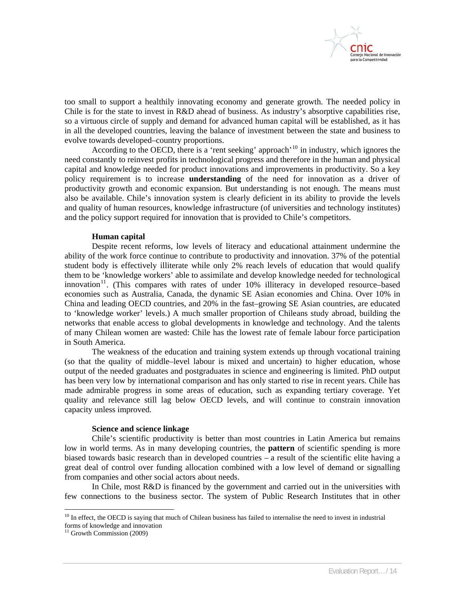

too small to support a healthily innovating economy and generate growth. The needed policy in Chile is for the state to invest in R&D ahead of business. As industry's absorptive capabilities rise, so a virtuous circle of supply and demand for advanced human capital will be established, as it has in all the developed countries, leaving the balance of investment between the state and business to evolve towards developed–country proportions.

According to the OECD, there is a 'rent seeking' approach'<sup>[10](#page-13-0)</sup> in industry, which ignores the need constantly to reinvest profits in technological progress and therefore in the human and physical capital and knowledge needed for product innovations and improvements in productivity. So a key policy requirement is to increase **understanding** of the need for innovation as a driver of productivity growth and economic expansion. But understanding is not enough. The means must also be available. Chile's innovation system is clearly deficient in its ability to provide the levels and quality of human resources, knowledge infrastructure (of universities and technology institutes) and the policy support required for innovation that is provided to Chile's competitors.

# **Human capital**

Despite recent reforms, low levels of literacy and educational attainment undermine the ability of the work force continue to contribute to productivity and innovation. 37% of the potential student body is effectively illiterate while only 2% reach levels of education that would qualify them to be 'knowledge workers' able to assimilate and develop knowledge needed for technological innovation $11$ . (This compares with rates of under 10% illiteracy in developed resource–based economies such as Australia, Canada, the dynamic SE Asian economies and China. Over 10% in China and leading OECD countries, and 20% in the fast–growing SE Asian countries, are educated to 'knowledge worker' levels.) A much smaller proportion of Chileans study abroad, building the networks that enable access to global developments in knowledge and technology. And the talents of many Chilean women are wasted: Chile has the lowest rate of female labour force participation in South America.

The weakness of the education and training system extends up through vocational training (so that the quality of middle–level labour is mixed and uncertain) to higher education, whose output of the needed graduates and postgraduates in science and engineering is limited. PhD output has been very low by international comparison and has only started to rise in recent years. Chile has made admirable progress in some areas of education, such as expanding tertiary coverage. Yet quality and relevance still lag below OECD levels, and will continue to constrain innovation capacity unless improved.

#### **Science and science linkage**

Chile's scientific productivity is better than most countries in Latin America but remains low in world terms. As in many developing countries, the **pattern** of scientific spending is more biased towards basic research than in developed countries – a result of the scientific elite having a great deal of control over funding allocation combined with a low level of demand or signalling from companies and other social actors about needs.

In Chile, most R&D is financed by the government and carried out in the universities with few connections to the business sector. The system of Public Research Institutes that in other

<span id="page-13-0"></span><sup>&</sup>lt;sup>10</sup> In effect, the OECD is saying that much of Chilean business has failed to internalise the need to invest in industrial forms of knowledge and innovation

<span id="page-13-1"></span> $11$  Growth Commission (2009)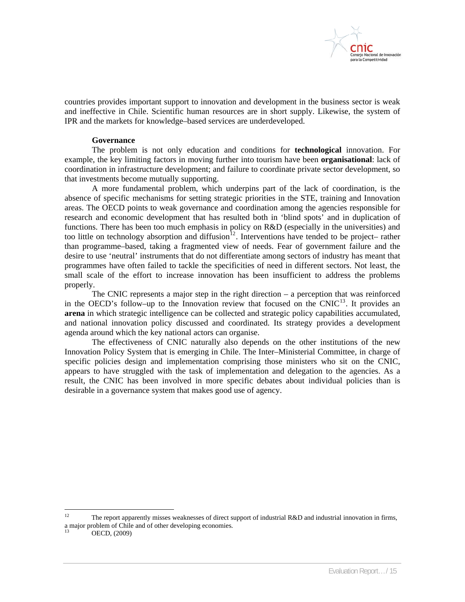

countries provides important support to innovation and development in the business sector is weak and ineffective in Chile. Scientific human resources are in short supply. Likewise, the system of IPR and the markets for knowledge–based services are underdeveloped.

#### **Governance**

The problem is not only education and conditions for **technological** innovation. For example, the key limiting factors in moving further into tourism have been **organisational**: lack of coordination in infrastructure development; and failure to coordinate private sector development, so that investments become mutually supporting.

A more fundamental problem, which underpins part of the lack of coordination, is the absence of specific mechanisms for setting strategic priorities in the STE, training and Innovation areas. The OECD points to weak governance and coordination among the agencies responsible for research and economic development that has resulted both in 'blind spots' and in duplication of functions. There has been too much emphasis in policy on R&D (especially in the universities) and too little on technology absorption and diffusion<sup>[12](#page-14-0)</sup>. Interventions have tended to be project– rather than programme–based, taking a fragmented view of needs. Fear of government failure and the desire to use 'neutral' instruments that do not differentiate among sectors of industry has meant that programmes have often failed to tackle the specificities of need in different sectors. Not least, the small scale of the effort to increase innovation has been insufficient to address the problems properly.

The CNIC represents a major step in the right direction – a perception that was reinforced in the OECD's follow–up to the Innovation review that focused on the  $CNIC<sup>13</sup>$  $CNIC<sup>13</sup>$  $CNIC<sup>13</sup>$ . It provides an **arena** in which strategic intelligence can be collected and strategic policy capabilities accumulated, and national innovation policy discussed and coordinated. Its strategy provides a development agenda around which the key national actors can organise.

The effectiveness of CNIC naturally also depends on the other institutions of the new Innovation Policy System that is emerging in Chile. The Inter–Ministerial Committee, in charge of specific policies design and implementation comprising those ministers who sit on the CNIC, appears to have struggled with the task of implementation and delegation to the agencies. As a result, the CNIC has been involved in more specific debates about individual policies than is desirable in a governance system that makes good use of agency.

<span id="page-14-1"></span><span id="page-14-0"></span>12 The report apparently misses weaknesses of direct support of industrial R&D and industrial innovation in firms, a major problem of Chile and of other developing economies.

OECD, (2009)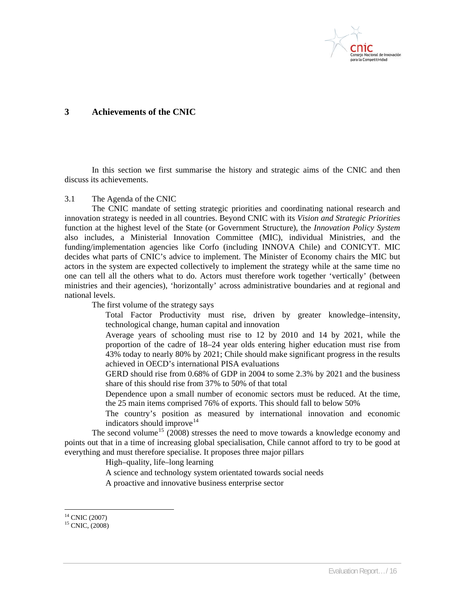

# **3 Achievements of the CNIC**

In this section we first summarise the history and strategic aims of the CNIC and then discuss its achievements.

#### 3.1 The Agenda of the CNIC

The CNIC mandate of setting strategic priorities and coordinating national research and innovation strategy is needed in all countries. Beyond CNIC with its *Vision and Strategic Priorities* function at the highest level of the State (or Government Structure), the *Innovation Policy System* also includes, a Ministerial Innovation Committee (MIC), individual Ministries, and the funding/implementation agencies like Corfo (including INNOVA Chile) and CONICYT. MIC decides what parts of CNIC's advice to implement. The Minister of Economy chairs the MIC but actors in the system are expected collectively to implement the strategy while at the same time no one can tell all the others what to do. Actors must therefore work together 'vertically' (between ministries and their agencies), 'horizontally' across administrative boundaries and at regional and national levels.

The first volume of the strategy says

Total Factor Productivity must rise, driven by greater knowledge–intensity, technological change, human capital and innovation

Average years of schooling must rise to 12 by 2010 and 14 by 2021, while the proportion of the cadre of 18–24 year olds entering higher education must rise from 43% today to nearly 80% by 2021; Chile should make significant progress in the results achieved in OECD's international PISA evaluations

GERD should rise from 0.68% of GDP in 2004 to some 2.3% by 2021 and the business share of this should rise from 37% to 50% of that total

Dependence upon a small number of economic sectors must be reduced. At the time, the 25 main items comprised 76% of exports. This should fall to below 50%

The country's position as measured by international innovation and economic indicators should improve  $14$ 

The second volume<sup>[15](#page-15-1)</sup> (2008) stresses the need to move towards a knowledge economy and points out that in a time of increasing global specialisation, Chile cannot afford to try to be good at everything and must therefore specialise. It proposes three major pillars

High–quality, life–long learning

A science and technology system orientated towards social needs

A proactive and innovative business enterprise sector

<span id="page-15-0"></span><sup>14</sup> CNIC (2007)

<span id="page-15-1"></span> $15$  CNIC,  $(2008)$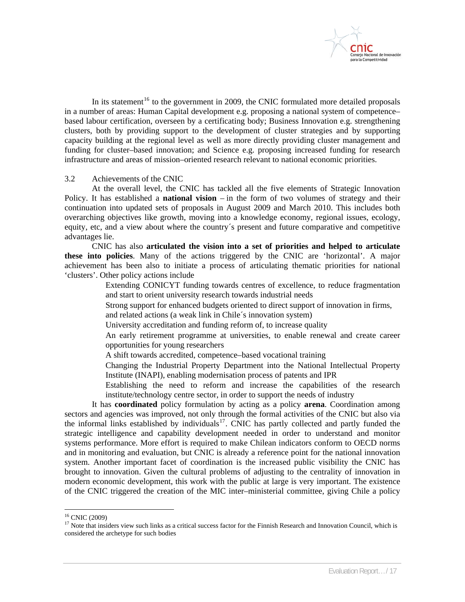

In its statement<sup>[16](#page-16-0)</sup> to the government in 2009, the CNIC formulated more detailed proposals in a number of areas: Human Capital development e.g. proposing a national system of competence– based labour certification, overseen by a certificating body; Business Innovation e.g. strengthening clusters, both by providing support to the development of cluster strategies and by supporting capacity building at the regional level as well as more directly providing cluster management and funding for cluster–based innovation; and Science e.g. proposing increased funding for research infrastructure and areas of mission–oriented research relevant to national economic priorities.

#### 3.2 Achievements of the CNIC

At the overall level, the CNIC has tackled all the five elements of Strategic Innovation Policy. It has established a **national vision** – in the form of two volumes of strategy and their continuation into updated sets of proposals in August 2009 and March 2010. This includes both overarching objectives like growth, moving into a knowledge economy, regional issues, ecology, equity, etc, and a view about where the country´s present and future comparative and competitive advantages lie.

CNIC has also **articulated the vision into a set of priorities and helped to articulate these into policies**. Many of the actions triggered by the CNIC are 'horizontal'. A major achievement has been also to initiate a process of articulating thematic priorities for national 'clusters'. Other policy actions include

> Extending CONICYT funding towards centres of excellence, to reduce fragmentation and start to orient university research towards industrial needs

Strong support for enhanced budgets oriented to direct support of innovation in firms,

and related actions (a weak link in Chile´s innovation system)

University accreditation and funding reform of, to increase quality

An early retirement programme at universities, to enable renewal and create career opportunities for young researchers

A shift towards accredited, competence–based vocational training

Changing the Industrial Property Department into the National Intellectual Property Institute (INAPI), enabling modernisation process of patents and IPR

Establishing the need to reform and increase the capabilities of the research institute/technology centre sector, in order to support the needs of industry

It has **coordinated** policy formulation by acting as a policy **arena**. Coordination among sectors and agencies was improved, not only through the formal activities of the CNIC but also via the informal links established by individuals<sup>[17](#page-16-1)</sup>. CNIC has partly collected and partly funded the strategic intelligence and capability development needed in order to understand and monitor systems performance. More effort is required to make Chilean indicators conform to OECD norms and in monitoring and evaluation, but CNIC is already a reference point for the national innovation system. Another important facet of coordination is the increased public visibility the CNIC has brought to innovation. Given the cultural problems of adjusting to the centrality of innovation in modern economic development, this work with the public at large is very important. The existence of the CNIC triggered the creation of the MIC inter–ministerial committee, giving Chile a policy

<sup>1</sup> 16 CNIC (2009)

<span id="page-16-1"></span><span id="page-16-0"></span><sup>&</sup>lt;sup>17</sup> Note that insiders view such links as a critical success factor for the Finnish Research and Innovation Council, which is considered the archetype for such bodies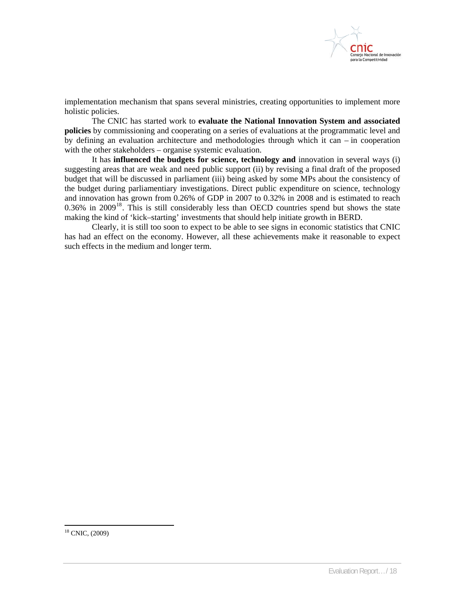

implementation mechanism that spans several ministries, creating opportunities to implement more holistic policies.

The CNIC has started work to **evaluate the National Innovation System and associated policies** by commissioning and cooperating on a series of evaluations at the programmatic level and by defining an evaluation architecture and methodologies through which it can – in cooperation with the other stakeholders – organise systemic evaluation.

It has **influenced the budgets for science, technology and** innovation in several ways (i) suggesting areas that are weak and need public support (ii) by revising a final draft of the proposed budget that will be discussed in parliament (iii) being asked by some MPs about the consistency of the budget during parliamentiary investigations. Direct public expenditure on science, technology and innovation has grown from 0.26% of GDP in 2007 to 0.32% in 2008 and is estimated to reach  $0.36\%$  in  $2009<sup>18</sup>$  $2009<sup>18</sup>$  $2009<sup>18</sup>$ . This is still considerably less than OECD countries spend but shows the state making the kind of 'kick–starting' investments that should help initiate growth in BERD.

Clearly, it is still too soon to expect to be able to see signs in economic statistics that CNIC has had an effect on the economy. However, all these achievements make it reasonable to expect such effects in the medium and longer term.

<span id="page-17-0"></span> $18$  CNIC, (2009)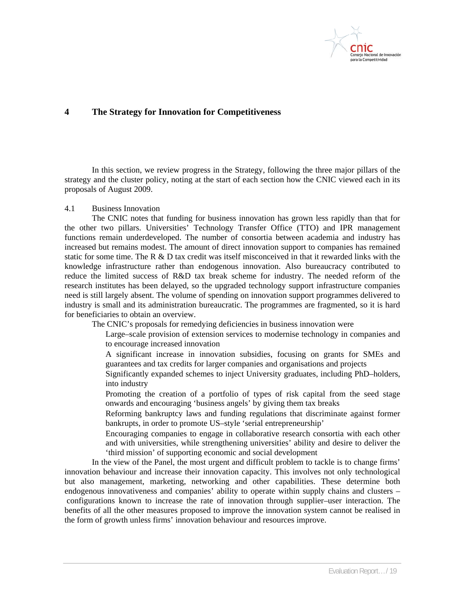

# **4 The Strategy for Innovation for Competitiveness**

In this section, we review progress in the Strategy, following the three major pillars of the strategy and the cluster policy, noting at the start of each section how the CNIC viewed each in its proposals of August 2009.

#### 4.1 Business Innovation

The CNIC notes that funding for business innovation has grown less rapidly than that for the other two pillars. Universities' Technology Transfer Office (TTO) and IPR management functions remain underdeveloped. The number of consortia between academia and industry has increased but remains modest. The amount of direct innovation support to companies has remained static for some time. The R & D tax credit was itself misconceived in that it rewarded links with the knowledge infrastructure rather than endogenous innovation. Also bureaucracy contributed to reduce the limited success of R&D tax break scheme for industry. The needed reform of the research institutes has been delayed, so the upgraded technology support infrastructure companies need is still largely absent. The volume of spending on innovation support programmes delivered to industry is small and its administration bureaucratic. The programmes are fragmented, so it is hard for beneficiaries to obtain an overview.

The CNIC's proposals for remedying deficiencies in business innovation were

Large–scale provision of extension services to modernise technology in companies and to encourage increased innovation

A significant increase in innovation subsidies, focusing on grants for SMEs and guarantees and tax credits for larger companies and organisations and projects

Significantly expanded schemes to inject University graduates, including PhD–holders, into industry

Promoting the creation of a portfolio of types of risk capital from the seed stage onwards and encouraging 'business angels' by giving them tax breaks

Reforming bankruptcy laws and funding regulations that discriminate against former bankrupts, in order to promote US–style 'serial entrepreneurship'

Encouraging companies to engage in collaborative research consortia with each other and with universities, while strengthening universities' ability and desire to deliver the 'third mission' of supporting economic and social development

In the view of the Panel, the most urgent and difficult problem to tackle is to change firms' innovation behaviour and increase their innovation capacity. This involves not only technological but also management, marketing, networking and other capabilities. These determine both endogenous innovativeness and companies' ability to operate within supply chains and clusters – configurations known to increase the rate of innovation through supplier–user interaction. The benefits of all the other measures proposed to improve the innovation system cannot be realised in the form of growth unless firms' innovation behaviour and resources improve.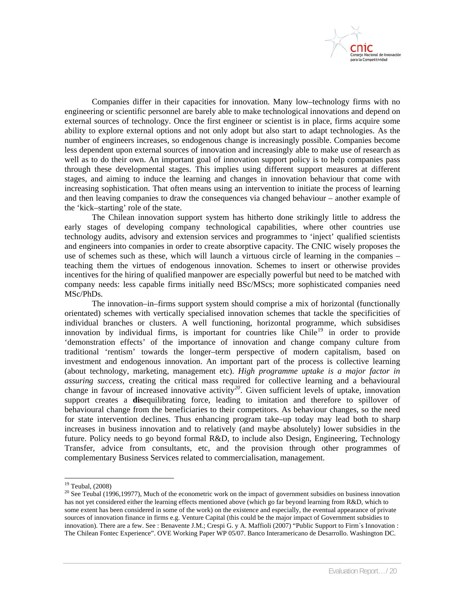

Companies differ in their capacities for innovation. Many low–technology firms with no engineering or scientific personnel are barely able to make technological innovations and depend on external sources of technology. Once the first engineer or scientist is in place, firms acquire some ability to explore external options and not only adopt but also start to adapt technologies. As the number of engineers increases, so endogenous change is increasingly possible. Companies become less dependent upon external sources of innovation and increasingly able to make use of research as well as to do their own. An important goal of innovation support policy is to help companies pass through these developmental stages. This implies using different support measures at different stages, and aiming to induce the learning and changes in innovation behaviour that come with increasing sophistication. That often means using an intervention to initiate the process of learning and then leaving companies to draw the consequences via changed behaviour – another example of the 'kick–starting' role of the state.

The Chilean innovation support system has hitherto done strikingly little to address the early stages of developing company technological capabilities, where other countries use technology audits, advisory and extension services and programmes to 'inject' qualified scientists and engineers into companies in order to create absorptive capacity. The CNIC wisely proposes the use of schemes such as these, which will launch a virtuous circle of learning in the companies – teaching them the virtues of endogenous innovation. Schemes to insert or otherwise provides incentives for the hiring of qualified manpower are especially powerful but need to be matched with company needs: less capable firms initially need BSc/MScs; more sophisticated companies need MSc/PhDs.

The innovation–in–firms support system should comprise a mix of horizontal (functionally orientated) schemes with vertically specialised innovation schemes that tackle the specificities of individual branches or clusters. A well functioning, horizontal programme, which subsidises innovation by individual firms, is important for countries like  $\text{Chile}^{19}$  $\text{Chile}^{19}$  $\text{Chile}^{19}$  in order to provide 'demonstration effects' of the importance of innovation and change company culture from traditional 'rentism' towards the longer–term perspective of modern capitalism, based on investment and endogenous innovation. An important part of the process is collective learning (about technology, marketing, management etc). *High programme uptake is a major factor in assuring success*, creating the critical mass required for collective learning and a behavioural change in favour of increased innovative activity*[20](#page-19-1).* Given sufficient levels of uptake, innovation support creates a **dis**equilibrating force, leading to imitation and therefore to spillover of behavioural change from the beneficiaries to their competitors. As behaviour changes, so the need for state intervention declines. Thus enhancing program take–up today may lead both to sharp increases in business innovation and to relatively (and maybe absolutely) lower subsidies in the future. Policy needs to go beyond formal R&D, to include also Design, Engineering, Technology Transfer, advice from consultants, etc, and the provision through other programmes of complementary Business Services related to commercialisation, management.

<u>.</u>

 $19$  Teubal, (2008)

<span id="page-19-1"></span><span id="page-19-0"></span><sup>&</sup>lt;sup>20</sup> See Teubal (1996,19977), Much of the econometric work on the impact of government subsidies on business innovation has not yet considered either the learning effects mentioned above (which go far beyond learning from R&D, which to some extent has been considered in some of the work) on the existence and especially, the eventual appearance of private sources of innovation finance in firms e.g. Venture Capital (this could be the major impact of Government subsidies to innovation). There are a few. See : Benavente J.M.; Crespi G. y A. Maffioli (2007) "Public Support to Firm´s Innovation : The Chilean Fontec Experience". OVE Working Paper WP 05/07. Banco Interamericano de Desarrollo. Washington DC.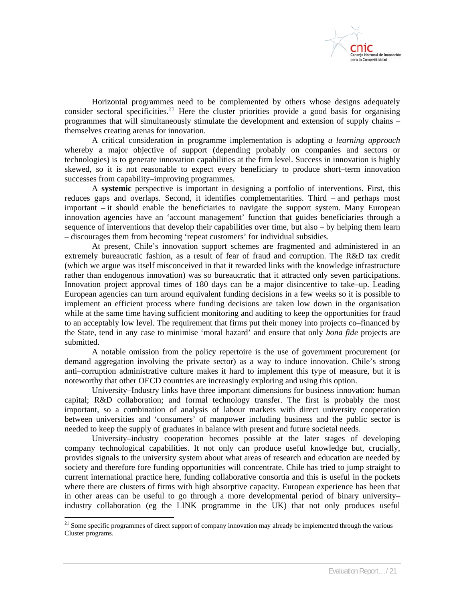

Horizontal programmes need to be complemented by others whose designs adequately consider sectoral specificities.<sup>[21](#page-20-0)</sup> Here the cluster priorities provide a good basis for organising programmes that will simultaneously stimulate the development and extension of supply chains – themselves creating arenas for innovation.

A critical consideration in programme implementation is adopting *a learning approach* whereby a major objective of support (depending probably on companies and sectors or technologies) is to generate innovation capabilities at the firm level. Success in innovation is highly skewed, so it is not reasonable to expect every beneficiary to produce short–term innovation successes from capability–improving programmes.

A **systemic** perspective is important in designing a portfolio of interventions. First, this reduces gaps and overlaps. Second, it identifies complementarities. Third – and perhaps most important – it should enable the beneficiaries to navigate the support system. Many European innovation agencies have an 'account management' function that guides beneficiaries through a sequence of interventions that develop their capabilities over time, but also – by helping them learn – discourages them from becoming 'repeat customers' for individual subsidies.

At present, Chile's innovation support schemes are fragmented and administered in an extremely bureaucratic fashion, as a result of fear of fraud and corruption. The R&D tax credit (which we argue was itself misconceived in that it rewarded links with the knowledge infrastructure rather than endogenous innovation) was so bureaucratic that it attracted only seven participations. Innovation project approval times of 180 days can be a major disincentive to take–up. Leading European agencies can turn around equivalent funding decisions in a few weeks so it is possible to implement an efficient process where funding decisions are taken low down in the organisation while at the same time having sufficient monitoring and auditing to keep the opportunities for fraud to an acceptably low level. The requirement that firms put their money into projects co–financed by the State, tend in any case to minimise 'moral hazard' and ensure that only *bona fide* projects are submitted.

A notable omission from the policy repertoire is the use of government procurement (or demand aggregation involving the private sector) as a way to induce innovation. Chile's strong anti–corruption administrative culture makes it hard to implement this type of measure, but it is noteworthy that other OECD countries are increasingly exploring and using this option.

University–Industry links have three important dimensions for business innovation: human capital; R&D collaboration; and formal technology transfer. The first is probably the most important, so a combination of analysis of labour markets with direct university cooperation between universities and 'consumers' of manpower including business and the public sector is needed to keep the supply of graduates in balance with present and future societal needs.

University–industry cooperation becomes possible at the later stages of developing company technological capabilities. It not only can produce useful knowledge but, crucially, provides signals to the university system about what areas of research and education are needed by society and therefore fore funding opportunities will concentrate. Chile has tried to jump straight to current international practice here, funding collaborative consortia and this is useful in the pockets where there are clusters of firms with high absorptive capacity. European experience has been that in other areas can be useful to go through a more developmental period of binary university– industry collaboration (eg the LINK programme in the UK) that not only produces useful

<u>.</u>

<span id="page-20-0"></span><sup>&</sup>lt;sup>21</sup> Some specific programmes of direct support of company innovation may already be implemented through the various Cluster programs.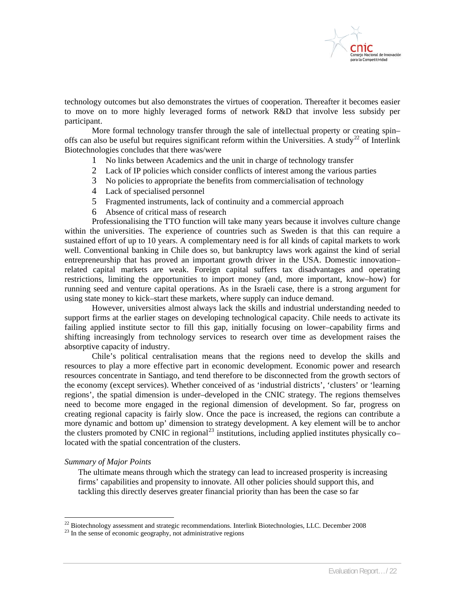

technology outcomes but also demonstrates the virtues of cooperation. Thereafter it becomes easier to move on to more highly leveraged forms of network R&D that involve less subsidy per participant.

More formal technology transfer through the sale of intellectual property or creating spin– offs can also be useful but requires significant reform within the Universities. A study<sup>[22](#page-21-0)</sup> of Interlink Biotechnologies concludes that there was/were

- 1 No links between Academics and the unit in charge of technology transfer
- 2 Lack of IP policies which consider conflicts of interest among the various parties
- 3 No policies to appropriate the benefits from commercialisation of technology
- 4 Lack of specialised personnel
- 5 Fragmented instruments, lack of continuity and a commercial approach
- 6 Absence of critical mass of research

Professionalising the TTO function will take many years because it involves culture change within the universities. The experience of countries such as Sweden is that this can require a sustained effort of up to 10 years. A complementary need is for all kinds of capital markets to work well. Conventional banking in Chile does so, but bankruptcy laws work against the kind of serial entrepreneurship that has proved an important growth driver in the USA. Domestic innovation– related capital markets are weak. Foreign capital suffers tax disadvantages and operating restrictions, limiting the opportunities to import money (and, more important, know–how) for running seed and venture capital operations. As in the Israeli case, there is a strong argument for using state money to kick–start these markets, where supply can induce demand.

However, universities almost always lack the skills and industrial understanding needed to support firms at the earlier stages on developing technological capacity. Chile needs to activate its failing applied institute sector to fill this gap, initially focusing on lower–capability firms and shifting increasingly from technology services to research over time as development raises the absorptive capacity of industry.

Chile's political centralisation means that the regions need to develop the skills and resources to play a more effective part in economic development. Economic power and research resources concentrate in Santiago, and tend therefore to be disconnected from the growth sectors of the economy (except services). Whether conceived of as 'industrial districts', 'clusters' or 'learning regions', the spatial dimension is under–developed in the CNIC strategy. The regions themselves need to become more engaged in the regional dimension of development. So far, progress on creating regional capacity is fairly slow. Once the pace is increased, the regions can contribute a more dynamic and bottom up' dimension to strategy development. A key element will be to anchor the clusters promoted by CNIC in regional<sup>[23](#page-21-1)</sup> institutions, including applied institutes physically co– located with the spatial concentration of the clusters.

#### *Summary of Major Points*

<u>.</u>

The ultimate means through which the strategy can lead to increased prosperity is increasing firms' capabilities and propensity to innovate. All other policies should support this, and tackling this directly deserves greater financial priority than has been the case so far

<span id="page-21-1"></span><span id="page-21-0"></span><sup>&</sup>lt;sup>22</sup> Biotechnology assessment and strategic recommendations. Interlink Biotechnologies, LLC. December 2008 <sup>23</sup> In the sense of economic geography, not administrative regions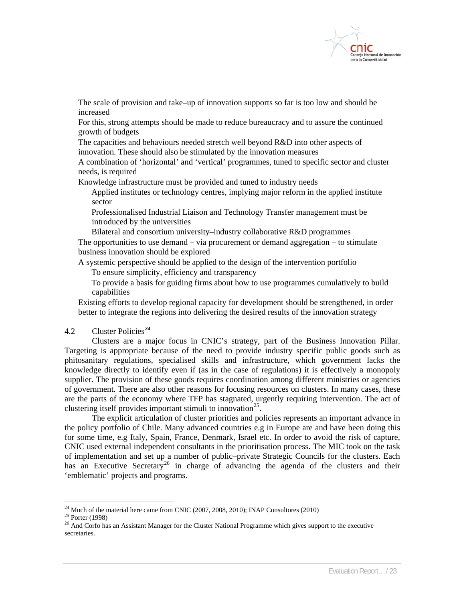

The scale of provision and take–up of innovation supports so far is too low and should be increased

For this, strong attempts should be made to reduce bureaucracy and to assure the continued growth of budgets

The capacities and behaviours needed stretch well beyond R&D into other aspects of innovation. These should also be stimulated by the innovation measures

A combination of 'horizontal' and 'vertical' programmes, tuned to specific sector and cluster needs, is required

Knowledge infrastructure must be provided and tuned to industry needs

Applied institutes or technology centres, implying major reform in the applied institute sector

Professionalised Industrial Liaison and Technology Transfer management must be introduced by the universities

Bilateral and consortium university–industry collaborative R&D programmes The opportunities to use demand – via procurement or demand aggregation – to stimulate business innovation should be explored

A systemic perspective should be applied to the design of the intervention portfolio To ensure simplicity, efficiency and transparency

To provide a basis for guiding firms about how to use programmes cumulatively to build capabilities

Existing efforts to develop regional capacity for development should be strengthened, in order better to integrate the regions into delivering the desired results of the innovation strategy

# 4.2 Cluster Policies*[24](#page-22-0)*

Clusters are a major focus in CNIC's strategy, part of the Business Innovation Pillar. Targeting is appropriate because of the need to provide industry specific public goods such as phitosanitary regulations, specialised skills and infrastructure, which government lacks the knowledge directly to identify even if (as in the case of regulations) it is effectively a monopoly supplier. The provision of these goods requires coordination among different ministries or agencies of government. There are also other reasons for focusing resources on clusters. In many cases, these are the parts of the economy where TFP has stagnated, urgently requiring intervention. The act of clustering itself provides important stimuli to innovation<sup>[25](#page-22-1)</sup>.

The explicit articulation of cluster priorities and policies represents an important advance in the policy portfolio of Chile. Many advanced countries e.g in Europe are and have been doing this for some time, e.g Italy, Spain, France, Denmark, Israel etc. In order to avoid the risk of capture, CNIC used external independent consultants in the prioritisation process. The MIC took on the task of implementation and set up a number of public–private Strategic Councils for the clusters. Each has an Executive Secretary<sup>[26](#page-22-2)</sup> in charge of advancing the agenda of the clusters and their 'emblematic' projects and programs.

 $^{24}$  Much of the material here came from CNIC (2007, 2008, 2010); INAP Consultores (2010)

<span id="page-22-1"></span><span id="page-22-0"></span> $25$  Porter (1998)

<span id="page-22-2"></span><sup>&</sup>lt;sup>26</sup> And Corfo has an Assistant Manager for the Cluster National Programme which gives support to the executive secretaries.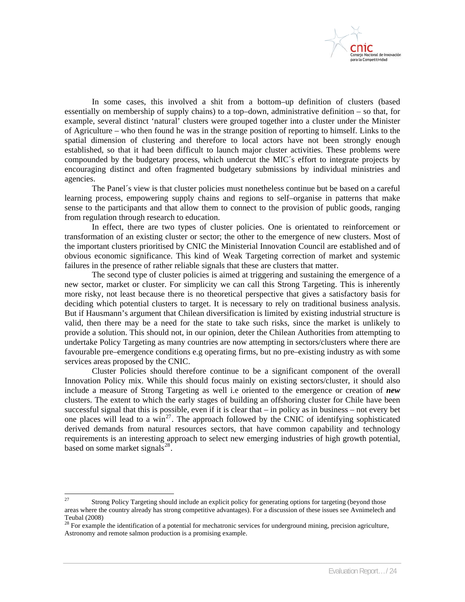

In some cases, this involved a shit from a bottom–up definition of clusters (based essentially on membership of supply chains) to a top–down, administrative definition – so that, for example, several distinct 'natural' clusters were grouped together into a cluster under the Minister of Agriculture – who then found he was in the strange position of reporting to himself. Links to the spatial dimension of clustering and therefore to local actors have not been strongly enough established, so that it had been difficult to launch major cluster activities. These problems were compounded by the budgetary process, which undercut the MIC´s effort to integrate projects by encouraging distinct and often fragmented budgetary submissions by individual ministries and agencies.

The Panel´s view is that cluster policies must nonetheless continue but be based on a careful learning process, empowering supply chains and regions to self–organise in patterns that make sense to the participants and that allow them to connect to the provision of public goods, ranging from regulation through research to education.

In effect, there are two types of cluster policies. One is orientated to reinforcement or transformation of an existing cluster or sector; the other to the emergence of new clusters. Most of the important clusters prioritised by CNIC the Ministerial Innovation Council are established and of obvious economic significance. This kind of Weak Targeting correction of market and systemic failures in the presence of rather reliable signals that these are clusters that matter.

The second type of cluster policies is aimed at triggering and sustaining the emergence of a new sector, market or cluster. For simplicity we can call this Strong Targeting. This is inherently more risky, not least because there is no theoretical perspective that gives a satisfactory basis for deciding which potential clusters to target. It is necessary to rely on traditional business analysis. But if Hausmann's argument that Chilean diversification is limited by existing industrial structure is valid, then there may be a need for the state to take such risks, since the market is unlikely to provide a solution. This should not, in our opinion, deter the Chilean Authorities from attempting to undertake Policy Targeting as many countries are now attempting in sectors/clusters where there are favourable pre–emergence conditions e.g operating firms, but no pre–existing industry as with some services areas proposed by the CNIC.

Cluster Policies should therefore continue to be a significant component of the overall Innovation Policy mix. While this should focus mainly on existing sectors/cluster, it should also include a measure of Strong Targeting as well i.e oriented to the emergence or creation of *new* clusters. The extent to which the early stages of building an offshoring cluster for Chile have been successful signal that this is possible, even if it is clear that – in policy as in business – not every bet one places will lead to a win<sup>[27](#page-23-0)</sup>. The approach followed by the CNIC of identifying sophisticated derived demands from natural resources sectors, that have common capability and technology requirements is an interesting approach to select new emerging industries of high growth potential, based on some market signals<sup>[28](#page-23-1)</sup>.

<span id="page-23-0"></span> $27$ 27 Strong Policy Targeting should include an explicit policy for generating options for targeting (beyond those areas where the country already has strong competitive advantages). For a discussion of these issues see Avnimelech and Teubal (2008)

<span id="page-23-1"></span> $28$  For example the identification of a potential for mechatronic services for underground mining, precision agriculture, Astronomy and remote salmon production is a promising example.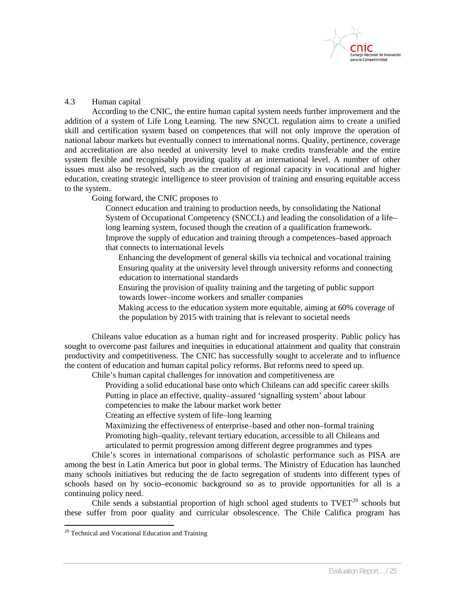

# 4.3 Human capital

According to the CNIC, the entire human capital system needs further improvement and the addition of a system of Life Long Learning. The new SNCCL regulation aims to create a unified skill and certification system based on competences that will not only improve the operation of national labour markets but eventually connect to international norms. Quality, pertinence, coverage and accreditation are also needed at university level to make credits transferable and the entire system flexible and recognisably providing quality at an international level. A number of other issues must also be resolved, such as the creation of regional capacity in vocational and higher education, creating strategic intelligence to steer provision of training and ensuring equitable access to the system.

Going forward, the CNIC proposes to

Connect education and training to production needs, by consolidating the National System of Occupational Competency (SNCCL) and leading the consolidation of a life– long learning system, focused though the creation of a qualification framework. Improve the supply of education and training through a competences–based approach that connects to international levels

Enhancing the development of general skills via technical and vocational training Ensuring quality at the university level through university reforms and connecting education to international standards

Ensuring the provision of quality training and the targeting of public support towards lower–income workers and smaller companies

Making access to the education system more equitable, aiming at 60% coverage of the population by 2015 with training that is relevant to societal needs

Chileans value education as a human right and for increased prosperity. Public policy has sought to overcome past failures and inequities in educational attainment and quality that constrain productivity and competitiveness. The CNIC has successfully sought to accelerate and to influence the content of education and human capital policy reforms. But reforms need to speed up.

Chile's human capital challenges for innovation and competitiveness are

Providing a solid educational base onto which Chileans can add specific career skills Putting in place an effective, quality–assured 'signalling system' about labour competencies to make the labour market work better

Creating an effective system of life–long learning

Maximizing the effectiveness of enterprise–based and other non–formal training Promoting high–quality, relevant tertiary education, accessible to all Chileans and articulated to permit progression among different degree programmes and types

Chile's scores in international comparisons of scholastic performance such as PISA are among the best in Latin America but poor in global terms. The Ministry of Education has launched many schools initiatives but reducing the de facto segregation of students into different types of schools based on by socio–economic background so as to provide opportunities for all is a continuing policy need.

Chile sends a substantial proportion of high school aged students to  $TVET^{29}$  $TVET^{29}$  $TVET^{29}$  schools but these suffer from poor quality and curricular obsolescence. The Chile Califica program has

<span id="page-24-0"></span><sup>&</sup>lt;sup>29</sup> Technical and Vocational Education and Training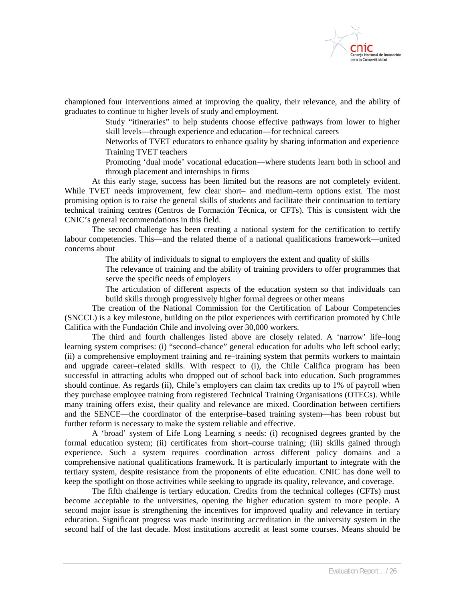

championed four interventions aimed at improving the quality, their relevance, and the ability of graduates to continue to higher levels of study and employment.

> Study "itineraries" to help students choose effective pathways from lower to higher skill levels—through experience and education—for technical careers

> Networks of TVET educators to enhance quality by sharing information and experience Training TVET teachers

> Promoting 'dual mode' vocational education—where students learn both in school and through placement and internships in firms

At this early stage, success has been limited but the reasons are not completely evident. While TVET needs improvement, few clear short– and medium–term options exist. The most promising option is to raise the general skills of students and facilitate their continuation to tertiary technical training centres (Centros de Formación Técnica, or CFTs). This is consistent with the CNIC's general recommendations in this field.

The second challenge has been creating a national system for the certification to certify labour competencies. This—and the related theme of a national qualifications framework—united concerns about

The ability of individuals to signal to employers the extent and quality of skills

The relevance of training and the ability of training providers to offer programmes that serve the specific needs of employers

The articulation of different aspects of the education system so that individuals can build skills through progressively higher formal degrees or other means

The creation of the National Commission for the Certification of Labour Competencies (SNCCL) is a key milestone, building on the pilot experiences with certification promoted by Chile Califica with the Fundación Chile and involving over 30,000 workers.

The third and fourth challenges listed above are closely related. A 'narrow' life–long learning system comprises: (i) "second–chance" general education for adults who left school early; (ii) a comprehensive employment training and re–training system that permits workers to maintain and upgrade career–related skills. With respect to (i), the Chile Califica program has been successful in attracting adults who dropped out of school back into education. Such programmes should continue. As regards (ii), Chile's employers can claim tax credits up to 1% of payroll when they purchase employee training from registered Technical Training Organisations (OTECs). While many training offers exist, their quality and relevance are mixed. Coordination between certifiers and the SENCE—the coordinator of the enterprise–based training system—has been robust but further reform is necessary to make the system reliable and effective.

A 'broad' system of Life Long Learning s needs: (i) recognised degrees granted by the formal education system; (ii) certificates from short–course training; (iii) skills gained through experience. Such a system requires coordination across different policy domains and a comprehensive national qualifications framework. It is particularly important to integrate with the tertiary system, despite resistance from the proponents of elite education. CNIC has done well to keep the spotlight on those activities while seeking to upgrade its quality, relevance, and coverage.

The fifth challenge is tertiary education. Credits from the technical colleges (CFTs) must become acceptable to the universities, opening the higher education system to more people. A second major issue is strengthening the incentives for improved quality and relevance in tertiary education. Significant progress was made instituting accreditation in the university system in the second half of the last decade. Most institutions accredit at least some courses. Means should be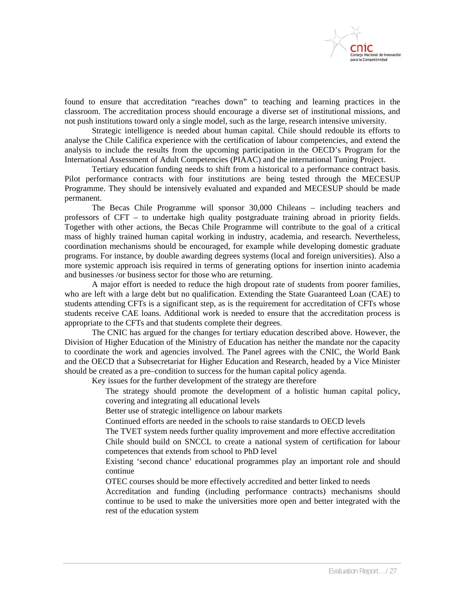

found to ensure that accreditation "reaches down" to teaching and learning practices in the classroom. The accreditation process should encourage a diverse set of institutional missions, and not push institutions toward only a single model, such as the large, research intensive university.

Strategic intelligence is needed about human capital. Chile should redouble its efforts to analyse the Chile Califica experience with the certification of labour competencies, and extend the analysis to include the results from the upcoming participation in the OECD's Program for the International Assessment of Adult Competencies (PIAAC) and the international Tuning Project.

Tertiary education funding needs to shift from a historical to a performance contract basis. Pilot performance contracts with four institutions are being tested through the MECESUP Programme. They should be intensively evaluated and expanded and MECESUP should be made permanent.

The Becas Chile Programme will sponsor 30,000 Chileans – including teachers and professors of CFT – to undertake high quality postgraduate training abroad in priority fields. Together with other actions, the Becas Chile Programme will contribute to the goal of a critical mass of highly trained human capital working in industry, academia, and research. Nevertheless, coordination mechanisms should be encouraged, for example while developing domestic graduate programs. For instance, by double awarding degrees systems (local and foreign universities). Also a more systemic approach isis required in terms of generating options for insertion ininto academia and businesses /or business sector for those who are returning.

A major effort is needed to reduce the high dropout rate of students from poorer families, who are left with a large debt but no qualification. Extending the State Guaranteed Loan (CAE) to students attending CFTs is a significant step, as is the requirement for accreditation of CFTs whose students receive CAE loans. Additional work is needed to ensure that the accreditation process is appropriate to the CFTs and that students complete their degrees.

The CNIC has argued for the changes for tertiary education described above. However, the Division of Higher Education of the Ministry of Education has neither the mandate nor the capacity to coordinate the work and agencies involved. The Panel agrees with the CNIC, the World Bank and the OECD that a Subsecretariat for Higher Education and Research, headed by a Vice Minister should be created as a pre–condition to success for the human capital policy agenda.

Key issues for the further development of the strategy are therefore

The strategy should promote the development of a holistic human capital policy, covering and integrating all educational levels

Better use of strategic intelligence on labour markets

Continued efforts are needed in the schools to raise standards to OECD levels

The TVET system needs further quality improvement and more effective accreditation

Chile should build on SNCCL to create a national system of certification for labour competences that extends from school to PhD level

Existing 'second chance' educational programmes play an important role and should continue

OTEC courses should be more effectively accredited and better linked to needs

Accreditation and funding (including performance contracts) mechanisms should continue to be used to make the universities more open and better integrated with the rest of the education system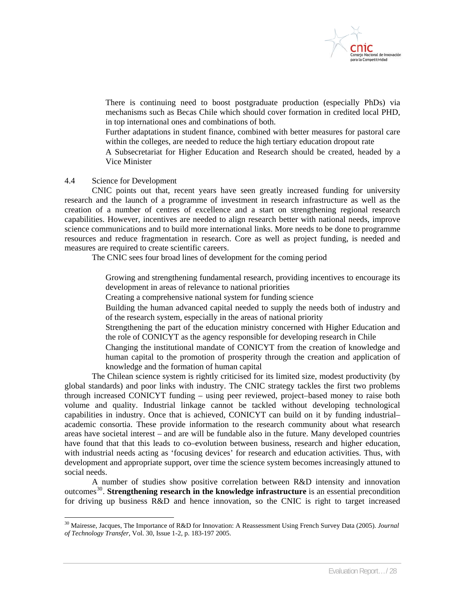

There is continuing need to boost postgraduate production (especially PhDs) via mechanisms such as Becas Chile which should cover formation in credited local PHD, in top international ones and combinations of both.

Further adaptations in student finance, combined with better measures for pastoral care within the colleges, are needed to reduce the high tertiary education dropout rate

A Subsecretariat for Higher Education and Research should be created, headed by a Vice Minister

#### 4.4 Science for Development

<u>.</u>

CNIC points out that, recent years have seen greatly increased funding for university research and the launch of a programme of investment in research infrastructure as well as the creation of a number of centres of excellence and a start on strengthening regional research capabilities. However, incentives are needed to align research better with national needs, improve science communications and to build more international links. More needs to be done to programme resources and reduce fragmentation in research. Core as well as project funding, is needed and measures are required to create scientific careers.

The CNIC sees four broad lines of development for the coming period

Growing and strengthening fundamental research, providing incentives to encourage its development in areas of relevance to national priorities

Creating a comprehensive national system for funding science

Building the human advanced capital needed to supply the needs both of industry and of the research system, especially in the areas of national priority

Strengthening the part of the education ministry concerned with Higher Education and the role of CONICYT as the agency responsible for developing research in Chile

Changing the institutional mandate of CONICYT from the creation of knowledge and human capital to the promotion of prosperity through the creation and application of knowledge and the formation of human capital

The Chilean science system is rightly criticised for its limited size, modest productivity (by global standards) and poor links with industry. The CNIC strategy tackles the first two problems through increased CONICYT funding – using peer reviewed, project–based money to raise both volume and quality. Industrial linkage cannot be tackled without developing technological capabilities in industry. Once that is achieved, CONICYT can build on it by funding industrial– academic consortia. These provide information to the research community about what research areas have societal interest – and are will be fundable also in the future. Many developed countries have found that that this leads to co–evolution between business, research and higher education, with industrial needs acting as 'focusing devices' for research and education activities. Thus, with development and appropriate support, over time the science system becomes increasingly attuned to social needs.

A number of studies show positive correlation between R&D intensity and innovation outcomes[30](#page-27-0). **Strengthening research in the knowledge infrastructure** is an essential precondition for driving up business R&D and hence innovation, so the CNIC is right to target increased

<span id="page-27-0"></span><sup>30</sup> Mairesse, Jacques, The Importance of R&D for Innovation: A Reassessment Using French Survey Data (2005). *Journal of Technology Transfer*, Vol. 30, Issue 1-2, p. 183-197 2005.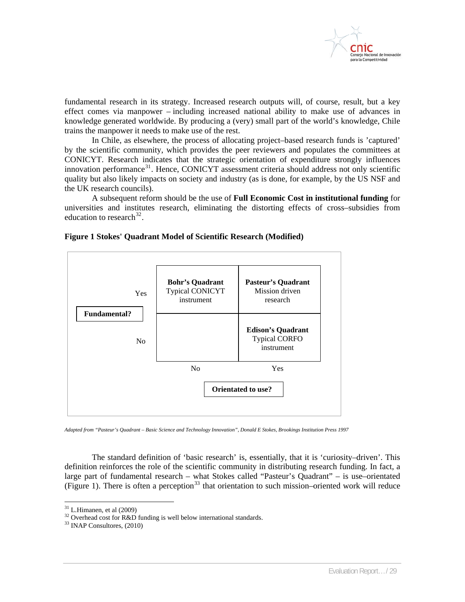

fundamental research in its strategy. Increased research outputs will, of course, result, but a key effect comes via manpower – including increased national ability to make use of advances in knowledge generated worldwide. By producing a (very) small part of the world's knowledge, Chile trains the manpower it needs to make use of the rest.

In Chile, as elsewhere, the process of allocating project–based research funds is 'captured' by the scientific community, which provides the peer reviewers and populates the committees at CONICYT. Research indicates that the strategic orientation of expenditure strongly influences innovation performance<sup>[31](#page-28-0)</sup>. Hence, CONICYT assessment criteria should address not only scientific quality but also likely impacts on society and industry (as is done, for example, by the US NSF and the UK research councils).

A subsequent reform should be the use of **Full Economic Cost in institutional funding** for universities and institutes research, eliminating the distorting effects of cross–subsidies from education to research $32$ .

<span id="page-28-3"></span>

**Figure 1 Stokes' Quadrant Model of Scientific Research (Modified)** 

*Adapted from "Pasteur's Quadrant – Basic Science and Technology Innovation", Donald E Stokes, Brookings Institution Press 1997*

The standard definition of 'basic research' is, essentially, that it is 'curiosity–driven'. This definition reinforces the role of the scientific community in distributing research funding. In fact, a large part of fundamental research – what Stokes called "Pasteur's Quadrant" – is use–orientated ([Figure 1](#page-28-3)). There is often a perception<sup>[33](#page-28-2)</sup> that orientation to such mission–oriented work will reduce

<sup>1</sup>  $31$  L.Himanen, et al (2009)

<span id="page-28-1"></span><span id="page-28-0"></span><sup>&</sup>lt;sup>32</sup> Overhead cost for R&D funding is well below international standards.<br><sup>33</sup> INAP Consultores, (2010)

<span id="page-28-2"></span>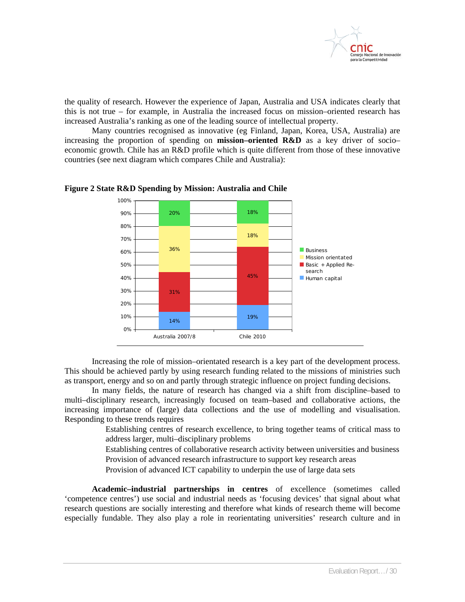

the quality of research. However the experience of Japan, Australia and USA indicates clearly that this is not true – for example, in Australia the increased focus on mission–oriented research has increased Australia's ranking as one of the leading source of intellectual property.

Many countries recognised as innovative (eg Finland, Japan, Korea, USA, Australia) are increasing the proportion of spending on **mission–oriented R&D** as a key driver of socio– economic growth. Chile has an R&D profile which is quite different from those of these innovative countries (see next diagram which compares Chile and Australia):



**Figure 2 State R&D Spending by Mission: Australia and Chile** 

Increasing the role of mission–orientated research is a key part of the development process. This should be achieved partly by using research funding related to the missions of ministries such as transport, energy and so on and partly through strategic influence on project funding decisions.

In many fields, the nature of research has changed via a shift from discipline–based to multi–disciplinary research, increasingly focused on team–based and collaborative actions, the increasing importance of (large) data collections and the use of modelling and visualisation. Responding to these trends requires

> Establishing centres of research excellence, to bring together teams of critical mass to address larger, multi–disciplinary problems

> Establishing centres of collaborative research activity between universities and business Provision of advanced research infrastructure to support key research areas

Provision of advanced ICT capability to underpin the use of large data sets

**Academic–industrial partnerships in centres** of excellence (sometimes called 'competence centres') use social and industrial needs as 'focusing devices' that signal about what research questions are socially interesting and therefore what kinds of research theme will become especially fundable. They also play a role in reorientating universities' research culture and in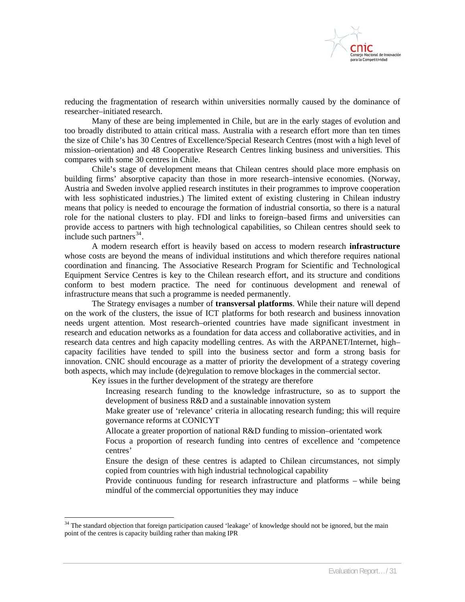

reducing the fragmentation of research within universities normally caused by the dominance of researcher–initiated research.

Many of these are being implemented in Chile, but are in the early stages of evolution and too broadly distributed to attain critical mass. Australia with a research effort more than ten times the size of Chile's has 30 Centres of Excellence/Special Research Centres (most with a high level of mission–orientation) and 48 Cooperative Research Centres linking business and universities. This compares with some 30 centres in Chile.

Chile's stage of development means that Chilean centres should place more emphasis on building firms' absorptive capacity than those in more research–intensive economies. (Norway, Austria and Sweden involve applied research institutes in their programmes to improve cooperation with less sophisticated industries.) The limited extent of existing clustering in Chilean industry means that policy is needed to encourage the formation of industrial consortia, so there is a natural role for the national clusters to play. FDI and links to foreign–based firms and universities can provide access to partners with high technological capabilities, so Chilean centres should seek to include such partners $^{34}$  $^{34}$  $^{34}$ .

A modern research effort is heavily based on access to modern research **infrastructure** whose costs are beyond the means of individual institutions and which therefore requires national coordination and financing. The Associative Research Program for Scientific and Technological Equipment Service Centres is key to the Chilean research effort, and its structure and conditions conform to best modern practice. The need for continuous development and renewal of infrastructure means that such a programme is needed permanently.

The Strategy envisages a number of **transversal platforms**. While their nature will depend on the work of the clusters, the issue of ICT platforms for both research and business innovation needs urgent attention. Most research–oriented countries have made significant investment in research and education networks as a foundation for data access and collaborative activities, and in research data centres and high capacity modelling centres. As with the ARPANET/Internet, high– capacity facilities have tended to spill into the business sector and form a strong basis for innovation. CNIC should encourage as a matter of priority the development of a strategy covering both aspects, which may include (de)regulation to remove blockages in the commercial sector.

Key issues in the further development of the strategy are therefore

Increasing research funding to the knowledge infrastructure, so as to support the development of business R&D and a sustainable innovation system

Make greater use of 'relevance' criteria in allocating research funding; this will require governance reforms at CONICYT

Allocate a greater proportion of national R&D funding to mission–orientated work

Focus a proportion of research funding into centres of excellence and 'competence centres'

Ensure the design of these centres is adapted to Chilean circumstances, not simply copied from countries with high industrial technological capability

Provide continuous funding for research infrastructure and platforms – while being mindful of the commercial opportunities they may induce

<u>.</u>

<span id="page-30-0"></span><sup>&</sup>lt;sup>34</sup> The standard objection that foreign participation caused 'leakage' of knowledge should not be ignored, but the main point of the centres is capacity building rather than making IPR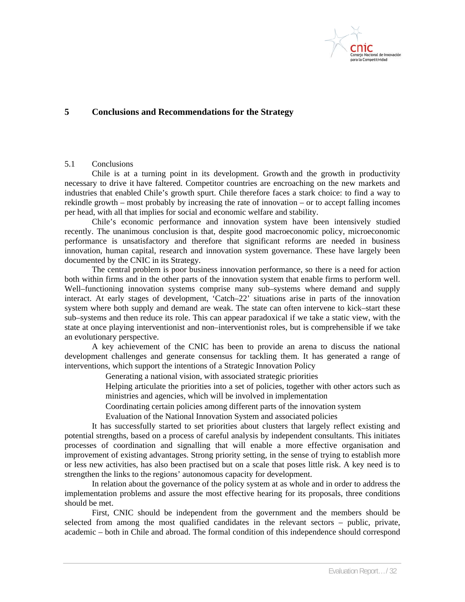

# **5 Conclusions and Recommendations for the Strategy**

# 5.1 Conclusions

Chile is at a turning point in its development. Growth and the growth in productivity necessary to drive it have faltered. Competitor countries are encroaching on the new markets and industries that enabled Chile's growth spurt. Chile therefore faces a stark choice: to find a way to rekindle growth – most probably by increasing the rate of innovation – or to accept falling incomes per head, with all that implies for social and economic welfare and stability.

Chile's economic performance and innovation system have been intensively studied recently. The unanimous conclusion is that, despite good macroeconomic policy, microeconomic performance is unsatisfactory and therefore that significant reforms are needed in business innovation, human capital, research and innovation system governance. These have largely been documented by the CNIC in its Strategy.

The central problem is poor business innovation performance, so there is a need for action both within firms and in the other parts of the innovation system that enable firms to perform well. Well–functioning innovation systems comprise many sub–systems where demand and supply interact. At early stages of development, 'Catch–22' situations arise in parts of the innovation system where both supply and demand are weak. The state can often intervene to kick–start these sub–systems and then reduce its role. This can appear paradoxical if we take a static view, with the state at once playing interventionist and non–interventionist roles, but is comprehensible if we take an evolutionary perspective.

A key achievement of the CNIC has been to provide an arena to discuss the national development challenges and generate consensus for tackling them. It has generated a range of interventions, which support the intentions of a Strategic Innovation Policy

Generating a national vision, with associated strategic priorities

Helping articulate the priorities into a set of policies, together with other actors such as ministries and agencies, which will be involved in implementation

Coordinating certain policies among different parts of the innovation system

Evaluation of the National Innovation System and associated policies

It has successfully started to set priorities about clusters that largely reflect existing and potential strengths, based on a process of careful analysis by independent consultants. This initiates processes of coordination and signalling that will enable a more effective organisation and improvement of existing advantages. Strong priority setting, in the sense of trying to establish more or less new activities, has also been practised but on a scale that poses little risk. A key need is to strengthen the links to the regions' autonomous capacity for development.

In relation about the governance of the policy system at as whole and in order to address the implementation problems and assure the most effective hearing for its proposals, three conditions should be met.

First, CNIC should be independent from the government and the members should be selected from among the most qualified candidates in the relevant sectors – public, private, academic – both in Chile and abroad. The formal condition of this independence should correspond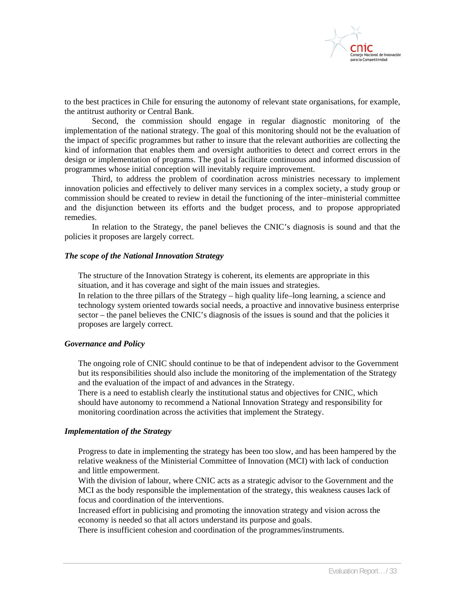

to the best practices in Chile for ensuring the autonomy of relevant state organisations, for example, the antitrust authority or Central Bank.

Second, the commission should engage in regular diagnostic monitoring of the implementation of the national strategy. The goal of this monitoring should not be the evaluation of the impact of specific programmes but rather to insure that the relevant authorities are collecting the kind of information that enables them and oversight authorities to detect and correct errors in the design or implementation of programs. The goal is facilitate continuous and informed discussion of programmes whose initial conception will inevitably require improvement.

Third, to address the problem of coordination across ministries necessary to implement innovation policies and effectively to deliver many services in a complex society, a study group or commission should be created to review in detail the functioning of the inter–ministerial committee and the disjunction between its efforts and the budget process, and to propose appropriated remedies.

In relation to the Strategy, the panel believes the CNIC's diagnosis is sound and that the policies it proposes are largely correct.

#### *The scope of the National Innovation Strategy*

The structure of the Innovation Strategy is coherent, its elements are appropriate in this situation, and it has coverage and sight of the main issues and strategies.

In relation to the three pillars of the Strategy – high quality life–long learning, a science and technology system oriented towards social needs, a proactive and innovative business enterprise sector – the panel believes the CNIC's diagnosis of the issues is sound and that the policies it proposes are largely correct.

#### *Governance and Policy*

The ongoing role of CNIC should continue to be that of independent advisor to the Government but its responsibilities should also include the monitoring of the implementation of the Strategy and the evaluation of the impact of and advances in the Strategy.

There is a need to establish clearly the institutional status and objectives for CNIC, which should have autonomy to recommend a National Innovation Strategy and responsibility for monitoring coordination across the activities that implement the Strategy.

#### *Implementation of the Strategy*

Progress to date in implementing the strategy has been too slow, and has been hampered by the relative weakness of the Ministerial Committee of Innovation (MCI) with lack of conduction and little empowerment.

With the division of labour, where CNIC acts as a strategic advisor to the Government and the MCI as the body responsible the implementation of the strategy, this weakness causes lack of focus and coordination of the interventions.

Increased effort in publicising and promoting the innovation strategy and vision across the economy is needed so that all actors understand its purpose and goals.

There is insufficient cohesion and coordination of the programmes/instruments.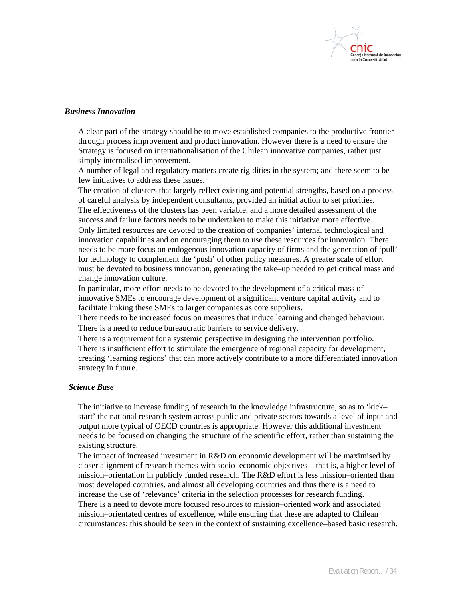

#### *Business Innovation*

A clear part of the strategy should be to move established companies to the productive frontier through process improvement and product innovation. However there is a need to ensure the Strategy is focused on internationalisation of the Chilean innovative companies, rather just simply internalised improvement.

A number of legal and regulatory matters create rigidities in the system; and there seem to be few initiatives to address these issues.

The creation of clusters that largely reflect existing and potential strengths, based on a process of careful analysis by independent consultants, provided an initial action to set priorities. The effectiveness of the clusters has been variable, and a more detailed assessment of the success and failure factors needs to be undertaken to make this initiative more effective. Only limited resources are devoted to the creation of companies' internal technological and innovation capabilities and on encouraging them to use these resources for innovation. There needs to be more focus on endogenous innovation capacity of firms and the generation of 'pull' for technology to complement the 'push' of other policy measures. A greater scale of effort must be devoted to business innovation, generating the take–up needed to get critical mass and change innovation culture.

In particular, more effort needs to be devoted to the development of a critical mass of innovative SMEs to encourage development of a significant venture capital activity and to facilitate linking these SMEs to larger companies as core suppliers.

There needs to be increased focus on measures that induce learning and changed behaviour. There is a need to reduce bureaucratic barriers to service delivery.

There is a requirement for a systemic perspective in designing the intervention portfolio. There is insufficient effort to stimulate the emergence of regional capacity for development, creating 'learning regions' that can more actively contribute to a more differentiated innovation strategy in future.

#### *Science Base*

The initiative to increase funding of research in the knowledge infrastructure, so as to 'kick– start' the national research system across public and private sectors towards a level of input and output more typical of OECD countries is appropriate. However this additional investment needs to be focused on changing the structure of the scientific effort, rather than sustaining the existing structure.

The impact of increased investment in R&D on economic development will be maximised by closer alignment of research themes with socio–economic objectives – that is, a higher level of mission–orientation in publicly funded research. The R&D effort is less mission–oriented than most developed countries, and almost all developing countries and thus there is a need to increase the use of 'relevance' criteria in the selection processes for research funding. There is a need to devote more focused resources to mission–oriented work and associated mission–orientated centres of excellence, while ensuring that these are adapted to Chilean circumstances; this should be seen in the context of sustaining excellence–based basic research.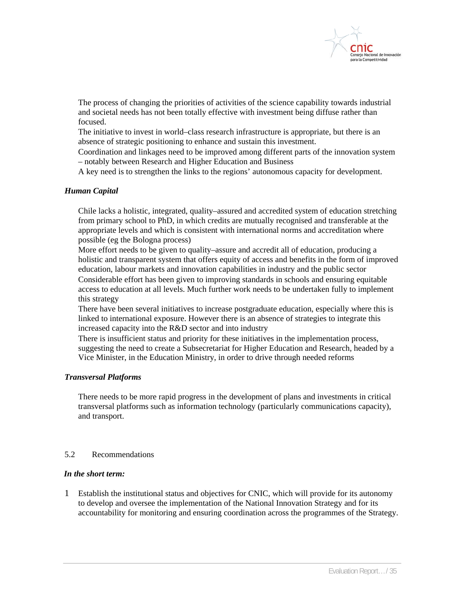

The process of changing the priorities of activities of the science capability towards industrial and societal needs has not been totally effective with investment being diffuse rather than focused.

The initiative to invest in world–class research infrastructure is appropriate, but there is an absence of strategic positioning to enhance and sustain this investment.

Coordination and linkages need to be improved among different parts of the innovation system – notably between Research and Higher Education and Business

A key need is to strengthen the links to the regions' autonomous capacity for development.

#### *Human Capital*

Chile lacks a holistic, integrated, quality–assured and accredited system of education stretching from primary school to PhD, in which credits are mutually recognised and transferable at the appropriate levels and which is consistent with international norms and accreditation where possible (eg the Bologna process)

More effort needs to be given to quality–assure and accredit all of education, producing a holistic and transparent system that offers equity of access and benefits in the form of improved education, labour markets and innovation capabilities in industry and the public sector Considerable effort has been given to improving standards in schools and ensuring equitable access to education at all levels. Much further work needs to be undertaken fully to implement this strategy

There have been several initiatives to increase postgraduate education, especially where this is linked to international exposure. However there is an absence of strategies to integrate this increased capacity into the R&D sector and into industry

There is insufficient status and priority for these initiatives in the implementation process, suggesting the need to create a Subsecretariat for Higher Education and Research, headed by a Vice Minister, in the Education Ministry, in order to drive through needed reforms

#### *Transversal Platforms*

There needs to be more rapid progress in the development of plans and investments in critical transversal platforms such as information technology (particularly communications capacity), and transport.

#### 5.2 Recommendations

#### *In the short term:*

1 Establish the institutional status and objectives for CNIC, which will provide for its autonomy to develop and oversee the implementation of the National Innovation Strategy and for its accountability for monitoring and ensuring coordination across the programmes of the Strategy.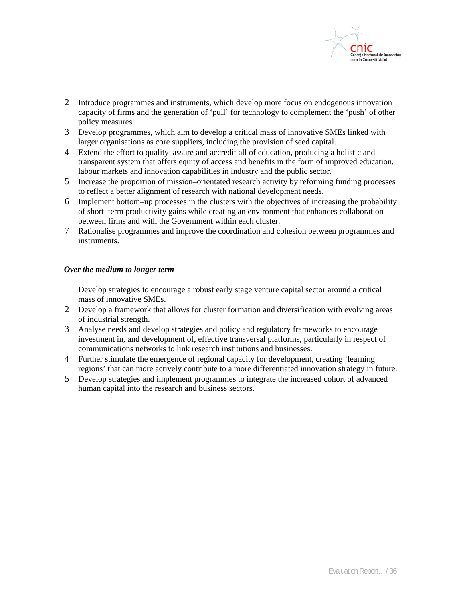

- 2 Introduce programmes and instruments, which develop more focus on endogenous innovation capacity of firms and the generation of 'pull' for technology to complement the 'push' of other policy measures.
- 3 Develop programmes, which aim to develop a critical mass of innovative SMEs linked with larger organisations as core suppliers, including the provision of seed capital.
- 4 Extend the effort to quality–assure and accredit all of education, producing a holistic and transparent system that offers equity of access and benefits in the form of improved education, labour markets and innovation capabilities in industry and the public sector.
- 5 Increase the proportion of mission–orientated research activity by reforming funding processes to reflect a better alignment of research with national development needs.
- 6 Implement bottom–up processes in the clusters with the objectives of increasing the probability of short–term productivity gains while creating an environment that enhances collaboration between firms and with the Government within each cluster.
- 7 Rationalise programmes and improve the coordination and cohesion between programmes and instruments.

#### *Over the medium to longer term*

- 1 Develop strategies to encourage a robust early stage venture capital sector around a critical mass of innovative SMEs.
- 2 Develop a framework that allows for cluster formation and diversification with evolving areas of industrial strength.
- 3 Analyse needs and develop strategies and policy and regulatory frameworks to encourage investment in, and development of, effective transversal platforms, particularly in respect of communications networks to link research institutions and businesses.
- 4 Further stimulate the emergence of regional capacity for development, creating 'learning regions' that can more actively contribute to a more differentiated innovation strategy in future.
- 5 Develop strategies and implement programmes to integrate the increased cohort of advanced human capital into the research and business sectors.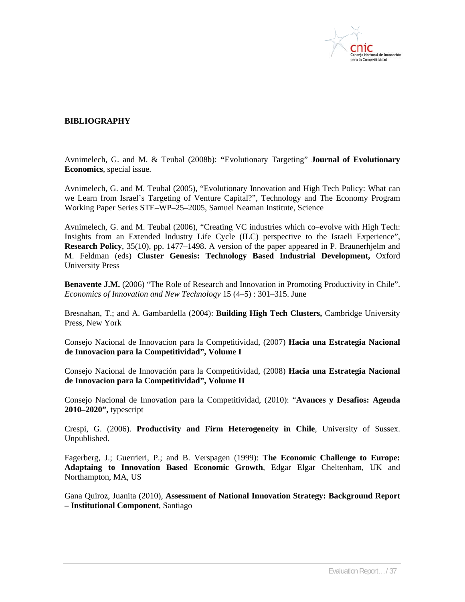

# **BIBLIOGRAPHY**

Avnimelech, G. and M. & Teubal (2008b): **"**Evolutionary Targeting" **Journal of Evolutionary Economics**, special issue.

Avnimelech, G. and M. Teubal (2005), "Evolutionary Innovation and High Tech Policy: What can we Learn from Israel's Targeting of Venture Capital?", Technology and The Economy Program Working Paper Series STE–WP–25–2005, Samuel Neaman Institute, Science

Avnimelech, G. and M. Teubal (2006), "Creating VC industries which co–evolve with High Tech: Insights from an Extended Industry Life Cycle (ILC) perspective to the Israeli Experience", **Research Policy**, 35(10), pp. 1477–1498. A version of the paper appeared in P. Braunerhjelm and M. Feldman (eds) **Cluster Genesis: Technology Based Industrial Development,** Oxford University Press

**Benavente J.M.** (2006) "The Role of Research and Innovation in Promoting Productivity in Chile". *Economics of Innovation and New Technology* 15 (4–5) : 301–315. June

Bresnahan, T.; and A. Gambardella (2004): **Building High Tech Clusters,** Cambridge University Press, New York

Consejo Nacional de Innovacion para la Competitividad, (2007) **Hacia una Estrategia Nacional de Innovacion para la Competitividad", Volume I** 

Consejo Nacional de Innovación para la Competitividad, (2008) **Hacia una Estrategia Nacional de Innovacion para la Competitividad", Volume II** 

Consejo Nacional de Innovation para la Competitividad, (2010): "**Avances y Desafios: Agenda 2010–2020",** typescript

Crespi, G. (2006). **Productivity and Firm Heterogeneity in Chile**, University of Sussex. Unpublished.

Fagerberg, J.; Guerrieri, P.; and B. Verspagen (1999): **The Economic Challenge to Europe: Adaptaing to Innovation Based Economic Growth**, Edgar Elgar Cheltenham, UK and Northampton, MA, US

Gana Quiroz, Juanita (2010), **Assessment of National Innovation Strategy: Background Report – Institutional Component**, Santiago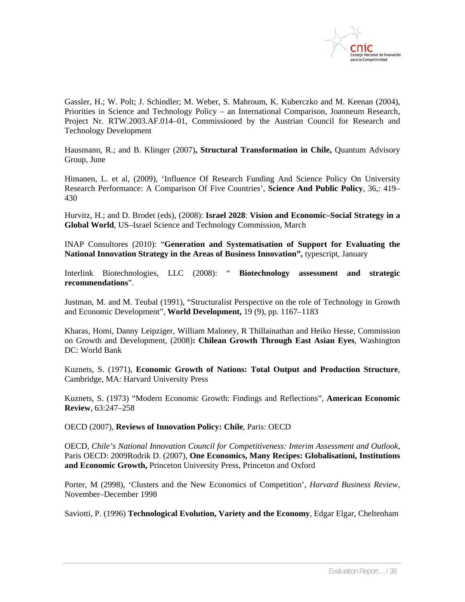

Gassler, H.; W. Polt; J. Schindler; M. Weber, S. Mahroum, K. Kuberczko and M. Keenan (2004), Priorities in Science and Technology Policy – an International Comparison, Joanneum Research, Project Nr. RTW.2003.AF.014–01, Commissioned by the Austrian Council for Research and Technology Development

Hausmann, R.; and B. Klinger (2007)**, Structural Transformation in Chile,** Quantum Advisory Group, June

Himanen, L. et al, (2009), 'Influence Of Research Funding And Science Policy On University Research Performance: A Comparison Of Five Countries', **Science And Public Policy**, 36,: 419– 430

Hurvitz, H.; and D. Brodet (eds), (2008): **Israel 2028**: **Vision and Economic–Social Strategy in a Global World**, US–Israel Science and Technology Commission, March

INAP Consultores (2010): "**Generation and Systematisation of Support for Evaluating the National Innovation Strategy in the Areas of Business Innovation",** typescript, January

Interlink Biotechnologies, LLC (2008): " **Biotechnology assessment and strategic recommendations**".

Justman, M. and M. Teubal (1991), "Structuralist Perspective on the role of Technology in Growth and Economic Development", **World Development,** 19 (9), pp. 1167–1183

Kharas, Homi, Danny Leipziger, William Maloney, R Thillainathan and Heiko Hesse, Commission on Growth and Development, (2008)**: Chilean Growth Through East Asian Eyes**, Washington DC: World Bank

Kuznets, S. (1971), **Economic Growth of Nations: Total Output and Production Structure**, Cambridge, MA: Harvard University Press

Kuznets, S. (1973) "Modern Economic Growth: Findings and Reflections", **American Economic Review**, 63:247–258

OECD (2007), **Reviews of Innovation Policy: Chile**, Paris: OECD

OECD, *Chile's National Innovation Council for Competitiveness: Interim Assessment and Outlook*, Paris OECD: 2009Rodrik D. (2007), **One Economics, Many Recipes: Globalisationi, Institutions and Economic Growth,** Princeton University Press, Princeton and Oxford

Porter, M (2998), 'Clusters and the New Economics of Competition', *Harvard Business Review,* November–December 1998

Saviotti, P. (1996) **Technological Evolution, Variety and the Economy**, Edgar Elgar, Cheltenham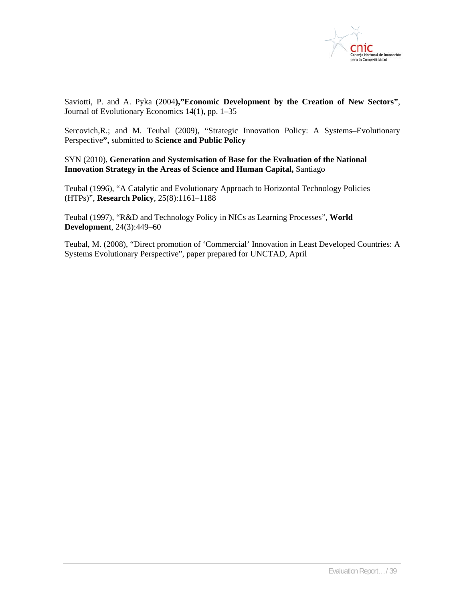

Saviotti, P. and A. Pyka (2004**),"Economic Development by the Creation of New Sectors"**, Journal of Evolutionary Economics 14(1), pp. 1–35

Sercovich,R.; and M. Teubal (2009), "Strategic Innovation Policy: A Systems–Evolutionary Perspective**",** submitted to **Science and Public Policy**

SYN (2010), **Generation and Systemisation of Base for the Evaluation of the National Innovation Strategy in the Areas of Science and Human Capital,** Santiago

Teubal (1996), "A Catalytic and Evolutionary Approach to Horizontal Technology Policies (HTPs)", **Research Policy**, 25(8):1161–1188

Teubal (1997), "R&D and Technology Policy in NICs as Learning Processes", **World Development**, 24(3):449–60

Teubal, M. (2008), "Direct promotion of 'Commercial' Innovation in Least Developed Countries: A Systems Evolutionary Perspective", paper prepared for UNCTAD, April